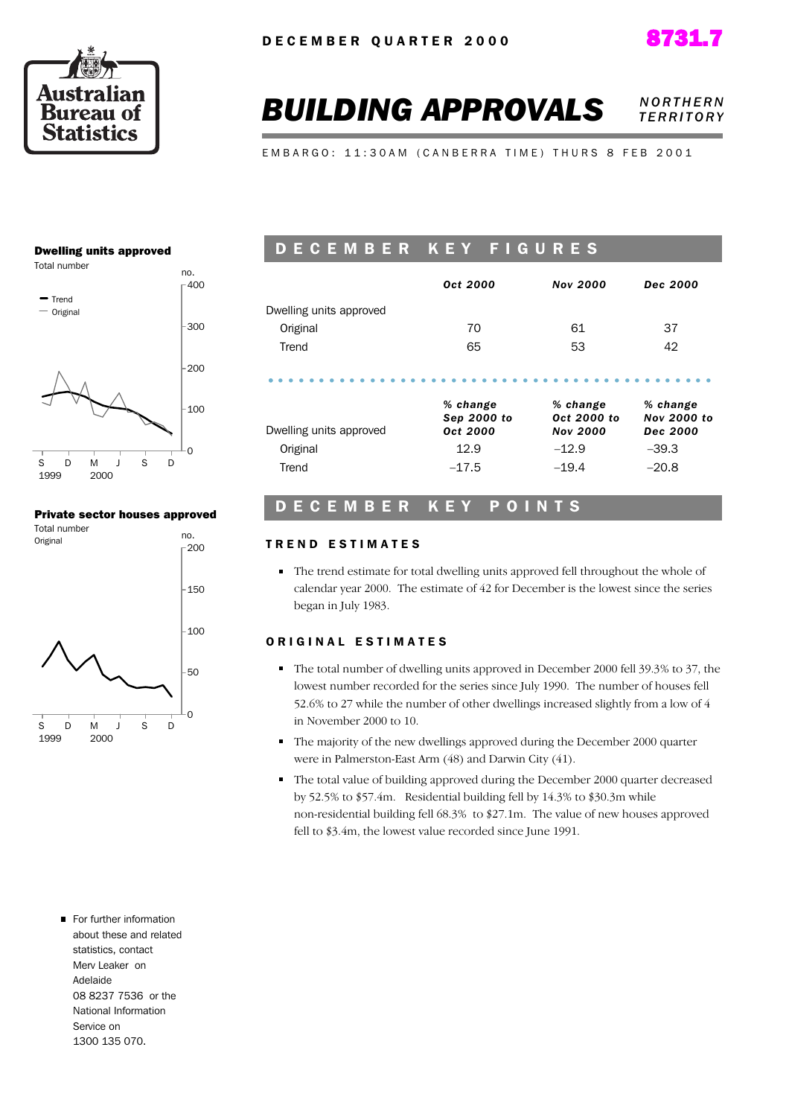



# **BUILDING APPROVALS NORTHERN** *T E R R I T O R Y*

E M B A R G O : 11:30 A M ( C A N B E R R A T I M E ) T H U R S 8 F E B 2001

#### Dwelling units approved



#### Private sector houses approved



# D E C E M B E R K E Y F I G U R E S

|                                     | Oct 2000                                    | <b>Nov 2000</b>                                       | Dec 2000                                              |
|-------------------------------------|---------------------------------------------|-------------------------------------------------------|-------------------------------------------------------|
| Dwelling units approved             |                                             |                                                       |                                                       |
| Original                            | 70                                          | 61                                                    | 37                                                    |
| Trend                               | 65                                          | 53                                                    | 42                                                    |
| Dwelling units approved<br>Original | % change<br>Sep 2000 to<br>Oct 2000<br>12.9 | % change<br>Oct 2000 to<br><b>Nov 2000</b><br>$-12.9$ | % change<br><b>Nov 2000 to</b><br>Dec 2000<br>$-39.3$ |
|                                     |                                             |                                                       |                                                       |
| Trend                               | $-17.5$                                     | $-19.4$                                               | $-20.8$                                               |

## D E C E M B E R K E Y P O I N T S

#### TREND ESTIMATES

The trend estimate for total dwelling units approved fell throughout the whole of calendar year 2000. The estimate of 42 for December is the lowest since the series began in July 1983.

#### ORIGINAL ESTIMATES

- The total number of dwelling units approved in December 2000 fell 39.3% to 37, the lowest number recorded for the series since July 1990. The number of houses fell 52.6% to 27 while the number of other dwellings increased slightly from a low of 4 in November 2000 to 10.
- The majority of the new dwellings approved during the December 2000 quarter were in Palmerston-East Arm (48) and Darwin City (41).
- The total value of building approved during the December 2000 quarter decreased by 52.5% to \$57.4m. Residential building fell by 14.3% to \$30.3m while non-residential building fell 68.3% to \$27.1m. The value of new houses approved fell to \$3.4m, the lowest value recorded since June 1991.

For further information about these and related statistics, contact Merv Leaker on Adelaide 08 8237 7536 or the National Information Service on 1300 135 070.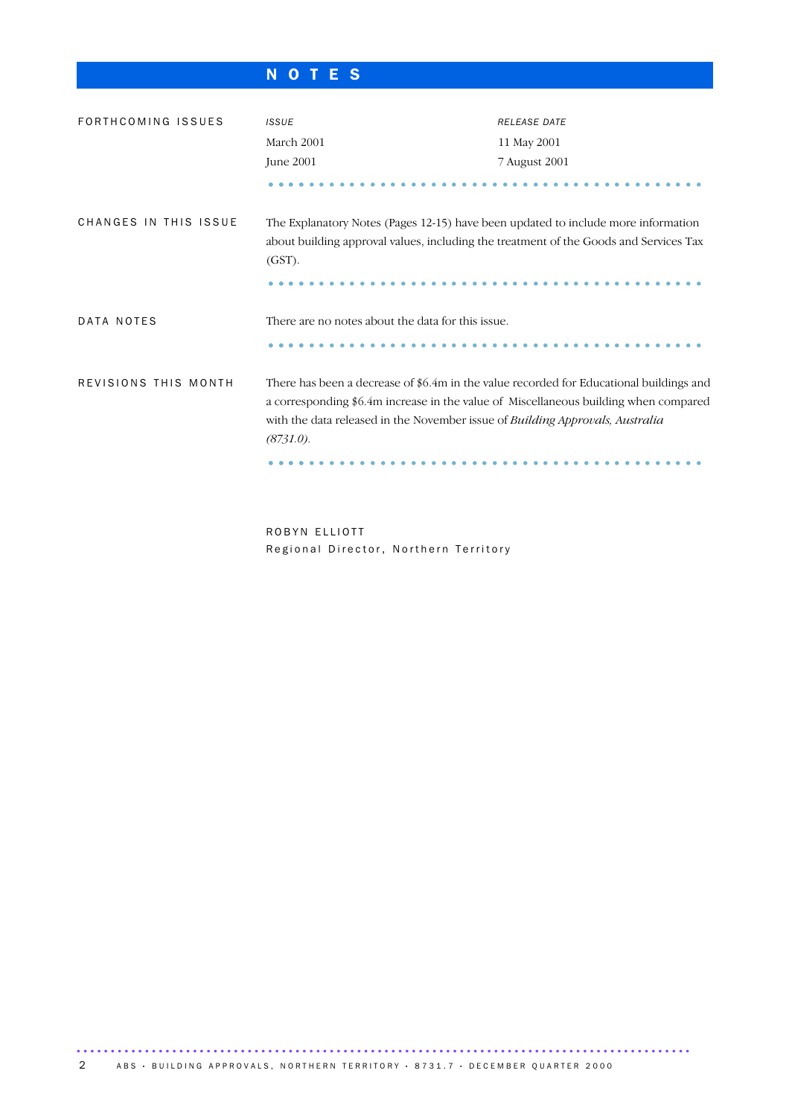# N O T E S

| FORTHCOMING ISSUES    | <b>ISSUE</b>                                                                                                                                                                                                                                                                  | <b>RELEASE DATE</b> |  |  |  |
|-----------------------|-------------------------------------------------------------------------------------------------------------------------------------------------------------------------------------------------------------------------------------------------------------------------------|---------------------|--|--|--|
|                       | March 2001                                                                                                                                                                                                                                                                    | 11 May 2001         |  |  |  |
|                       | June 2001                                                                                                                                                                                                                                                                     | 7 August 2001       |  |  |  |
|                       |                                                                                                                                                                                                                                                                               |                     |  |  |  |
| CHANGES IN THIS ISSUE | The Explanatory Notes (Pages 12-15) have been updated to include more information<br>about building approval values, including the treatment of the Goods and Services Tax<br>$(GST)$ .                                                                                       |                     |  |  |  |
| DATA NOTES            | There are no notes about the data for this issue.                                                                                                                                                                                                                             |                     |  |  |  |
|                       |                                                                                                                                                                                                                                                                               |                     |  |  |  |
| REVISIONS THIS MONTH  | There has been a decrease of \$6.4m in the value recorded for Educational buildings and<br>a corresponding \$6.4m increase in the value of Miscellaneous building when compared<br>with the data released in the November issue of Building Approvals, Australia<br>(8731.0). |                     |  |  |  |
|                       |                                                                                                                                                                                                                                                                               |                     |  |  |  |

ROBYN ELLIOTT Regional Director, Northern Territory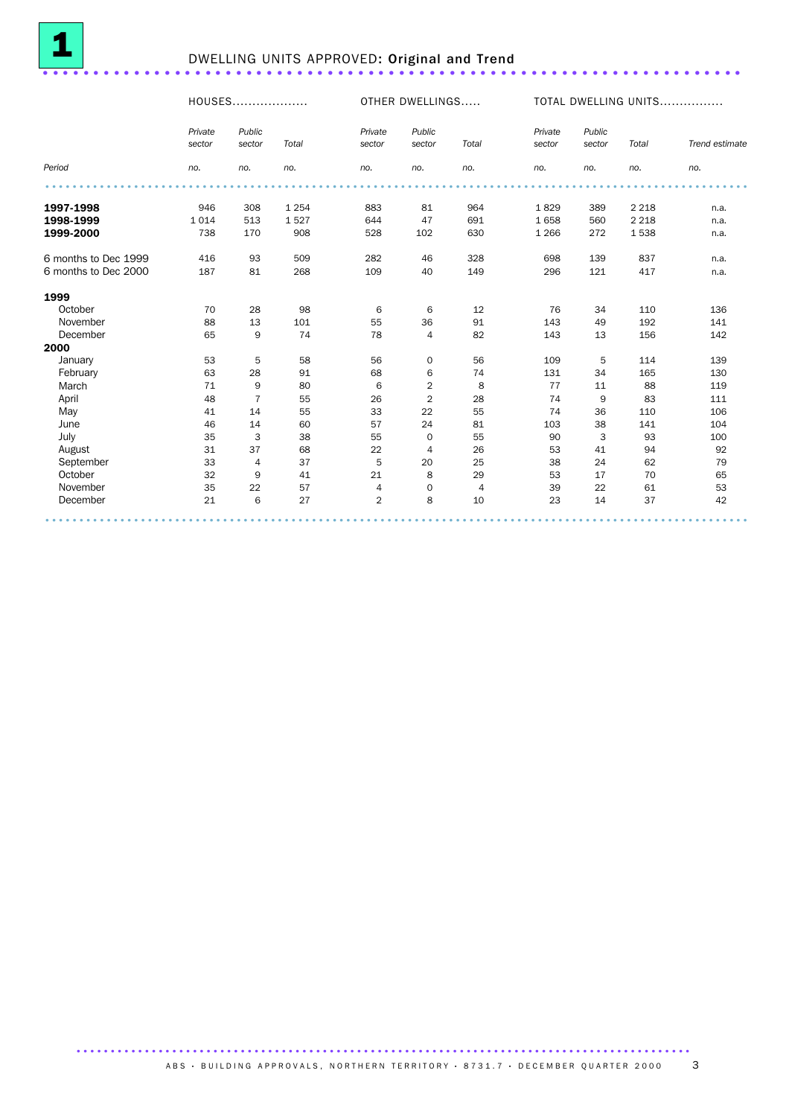

# <sup>1</sup> DWELLING UNITS APPROVED: Original and Trend .....................................................................

|                      | HOUSES            |                  |         |                   | OTHER DWELLINGS  |                |                   | TOTAL DWELLING UNITS |         |                |  |
|----------------------|-------------------|------------------|---------|-------------------|------------------|----------------|-------------------|----------------------|---------|----------------|--|
|                      | Private<br>sector | Public<br>sector | Total   | Private<br>sector | Public<br>sector | Total          | Private<br>sector | Public<br>sector     | Total   | Trend estimate |  |
| Period               | no.               | no.              | no.     | no.               | no.              | no.            | no.               | no.                  | no.     | no.            |  |
|                      |                   |                  |         |                   |                  |                |                   |                      |         |                |  |
| 1997-1998            | 946               | 308              | 1 2 5 4 | 883               | 81               | 964            | 1829              | 389                  | 2 2 1 8 | n.a.           |  |
| 1998-1999            | 1 0 1 4           | 513              | 1527    | 644               | 47               | 691            | 1658              | 560                  | 2 2 1 8 | n.a.           |  |
| 1999-2000            | 738               | 170              | 908     | 528               | 102              | 630            | 1 2 6 6           | 272                  | 1538    | n.a.           |  |
| 6 months to Dec 1999 | 416               | 93               | 509     | 282               | 46               | 328            | 698               | 139                  | 837     | n.a.           |  |
| 6 months to Dec 2000 | 187               | 81               | 268     | 109               | 40               | 149            | 296               | 121                  | 417     | n.a.           |  |
| 1999                 |                   |                  |         |                   |                  |                |                   |                      |         |                |  |
| October              | 70                | 28               | 98      | 6                 | 6                | 12             | 76                | 34                   | 110     | 136            |  |
| November             | 88                | 13               | 101     | 55                | 36               | 91             | 143               | 49                   | 192     | 141            |  |
| December             | 65                | 9                | 74      | 78                | $\overline{4}$   | 82             | 143               | 13                   | 156     | 142            |  |
| 2000                 |                   |                  |         |                   |                  |                |                   |                      |         |                |  |
| January              | 53                | 5                | 58      | 56                | 0                | 56             | 109               | 5                    | 114     | 139            |  |
| February             | 63                | 28               | 91      | 68                | 6                | 74             | 131               | 34                   | 165     | 130            |  |
| March                | 71                | 9                | 80      | 6                 | $\overline{2}$   | 8              | 77                | 11                   | 88      | 119            |  |
| April                | 48                | $\overline{7}$   | 55      | 26                | $\overline{2}$   | 28             | 74                | 9                    | 83      | 111            |  |
| May                  | 41                | 14               | 55      | 33                | 22               | 55             | 74                | 36                   | 110     | 106            |  |
| June                 | 46                | 14               | 60      | 57                | 24               | 81             | 103               | 38                   | 141     | 104            |  |
| July                 | 35                | 3                | 38      | 55                | 0                | 55             | 90                | 3                    | 93      | 100            |  |
| August               | 31                | 37               | 68      | 22                | 4                | 26             | 53                | 41                   | 94      | 92             |  |
| September            | 33                | 4                | 37      | 5                 | 20               | 25             | 38                | 24                   | 62      | 79             |  |
| October              | 32                | 9                | 41      | 21                | 8                | 29             | 53                | 17                   | 70      | 65             |  |
| November             | 35                | 22               | 57      | 4                 | 0                | $\overline{4}$ | 39                | 22                   | 61      | 53             |  |
| December             | 21                | 6                | 27      | $\overline{2}$    | 8                | 10             | 23                | 14                   | 37      | 42             |  |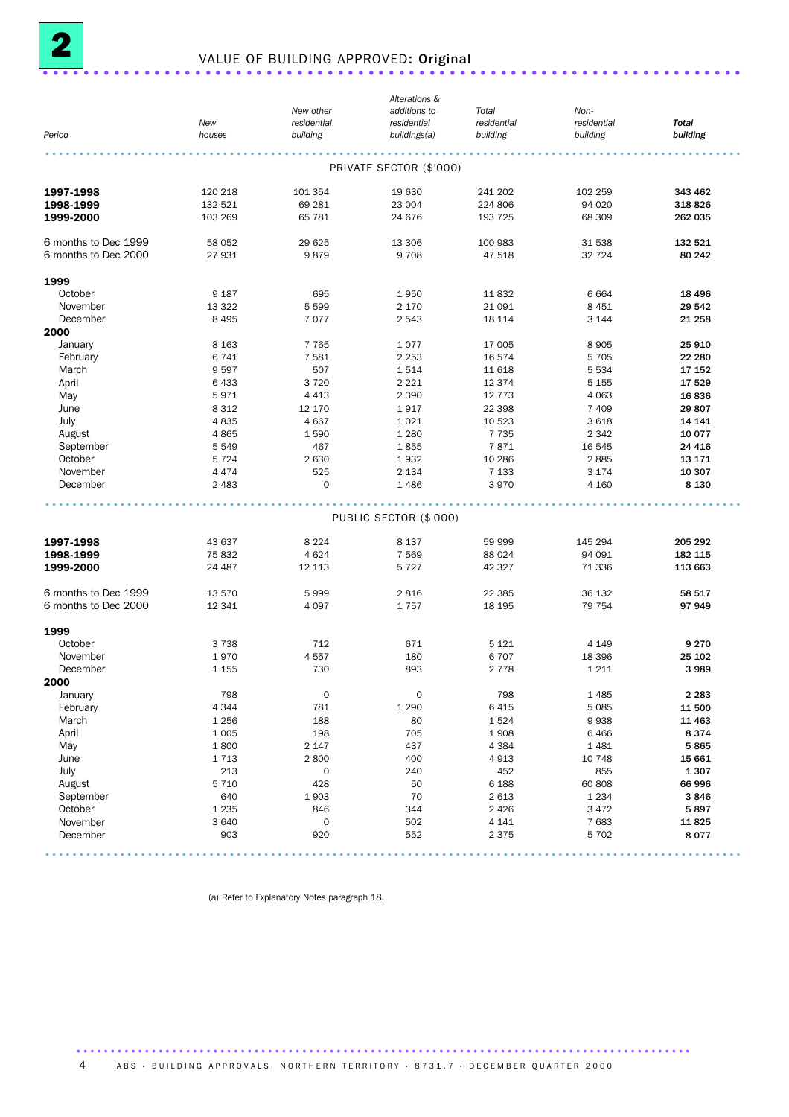

# <sup>2</sup> VALUE OF BUILDING APPROVED: Original .....................................................................

|                      |         |                     | Alterations &           |             |             |              |
|----------------------|---------|---------------------|-------------------------|-------------|-------------|--------------|
|                      |         | New other           | additions to            | Total       | Non-        |              |
|                      | New     | residential         | residential             | residential | residential | <b>Total</b> |
| Period               | houses  | building            | buildings(a)            | building    | building    | building     |
|                      |         |                     |                         |             |             |              |
|                      |         |                     | PRIVATE SECTOR (\$'000) |             |             |              |
| 1997-1998            | 120 218 | 101 354             | 19 630                  | 241 202     | 102 259     | 343 462      |
| 1998-1999            | 132 521 | 69 281              | 23 004                  | 224 806     | 94 0 20     | 318826       |
| 1999-2000            | 103 269 | 65 781              | 24 676                  | 193 725     | 68 309      | 262 035      |
| 6 months to Dec 1999 | 58 052  | 29 6 25             | 13 306                  | 100 983     | 31 538      | 132 521      |
| 6 months to Dec 2000 | 27 931  | 9879                | 9708                    | 47 518      | 32 7 24     | 80 242       |
| 1999                 |         |                     |                         |             |             |              |
| October              | 9 1 8 7 | 695                 | 1950                    | 11832       | 6664        | 18 4 96      |
| November             | 13 3 22 | 5 5 9 9             | 2 1 7 0                 | 21 091      | 8 4 5 1     | 29 542       |
| December             | 8 4 9 5 | 7077                | 2 5 4 3                 | 18 114      | 3 1 4 4     | 21 258       |
| 2000                 |         |                     |                         |             |             |              |
| January              | 8 1 6 3 | 7 7 6 5             | 1077                    | 17 005      | 8 9 0 5     | 25 910       |
| February             | 6741    | 7581                | 2 2 5 3                 | 16574       | 5 7 0 5     | 22 280       |
|                      | 9597    | 507                 | 1514                    | 11 618      | 5 5 3 4     | 17 152       |
| March                |         |                     |                         |             |             |              |
| April                | 6433    | 3720                | 2 2 2 1                 | 12 374      | 5 1 5 5     | 17 529       |
| May                  | 5971    | 4 4 1 3             | 2 3 9 0                 | 12 7 7 3    | 4 0 6 3     | 16836        |
| June                 | 8 3 1 2 | 12 170              | 1917                    | 22 398      | 7 4 0 9     | 29 807       |
| July                 | 4835    | 4 6 6 7             | 1 0 2 1                 | 10 523      | 3 6 18      | 14 14 1      |
| August               | 4865    | 1590                | 1 2 8 0                 | 7 7 3 5     | 2 3 4 2     | 10 0 77      |
| September            | 5 5 4 9 | 467                 | 1855                    | 7871        | 16 545      | 24 4 16      |
| October              | 5 7 2 4 | 2 6 3 0             | 1932                    | 10 286      | 2885        | 13 171       |
| November             | 4 4 7 4 | 525                 | 2 1 3 4                 | 7 1 3 3     | 3 1 7 4     | 10 307       |
| December             | 2 4 8 3 | 0                   | 1 4 8 6                 | 3970        | 4 1 6 0     | 8 1 3 0      |
|                      |         |                     |                         |             |             |              |
|                      |         |                     | PUBLIC SECTOR (\$'000)  |             |             |              |
| 1997-1998            | 43 637  | 8 2 2 4             | 8 1 3 7                 | 59 999      | 145 294     | 205 292      |
| 1998-1999            | 75832   | 4 6 2 4             | 7 5 6 9                 | 88 0 24     | 94 091      | 182 115      |
| 1999-2000            | 24 487  | 12 113              | 5 7 2 7                 | 42 327      | 71 336      | 113 663      |
| 6 months to Dec 1999 | 13 570  | 5999                | 2816                    | 22 3 85     | 36 132      | 58 517       |
| 6 months to Dec 2000 | 12 341  | 4 0 9 7             | 1757                    | 18 195      | 79 754      | 97949        |
|                      |         |                     |                         |             |             |              |
| 1999<br>October      | 3 7 3 8 | 712                 | 671                     | 5 1 2 1     | 4 1 4 9     | 9 2 7 0      |
|                      |         |                     |                         |             | 18 3 96     |              |
| November             | 1970    | 4557                | 180                     | 6707        |             | 25 102       |
| December             | 1 1 5 5 | 730                 | 893                     | 2 7 7 8     | 1 2 1 1     | 3989         |
| 2000                 |         |                     |                         |             |             |              |
| January              | 798     | $\mathsf{O}\xspace$ | $\mathsf O$             | 798         | 1 4 8 5     | 2 2 8 3      |
| February             | 4 3 4 4 | 781                 | 1 2 9 0                 | 6 4 1 5     | 5 0 8 5     | 11 500       |
| March                | 1 2 5 6 | 188                 | 80                      | 1524        | 9938        | 11 4 63      |
| April                | 1 0 0 5 | 198                 | 705                     | 1908        | 6466        | 8374         |
| May                  | 1800    | 2 1 4 7             | 437                     | 4 3 8 4     | 1 4 8 1     | 5865         |
| June                 | 1713    | 2800                | 400                     | 4913        | 10 748      | 15 661       |
| July                 | 213     | 0                   | 240                     | 452         | 855         | 1 3 0 7      |
| August               | 5 7 1 0 | 428                 | 50                      | 6 1 8 8     | 60 808      | 66 996       |
| September            | 640     | 1903                | 70                      | 2 6 1 3     | 1 2 3 4     | 3846         |
| October              | 1 2 3 5 | 846                 | 344                     | 2 4 2 6     | 3 4 7 2     | 5897         |
| November             | 3 6 4 0 | 0                   | 502                     | 4 1 4 1     | 7683        | 11825        |
| December             | 903     | 920                 | 552                     | 2 3 7 5     | 5 7 0 2     | 8077         |
|                      |         |                     |                         |             |             |              |

(a) Refer to Explanatory Notes paragraph 18.

4 ABS · BUILDING APPROVALS, NORTHERN TERRITORY · 8731.7 · DECEMBER QUARTER 2000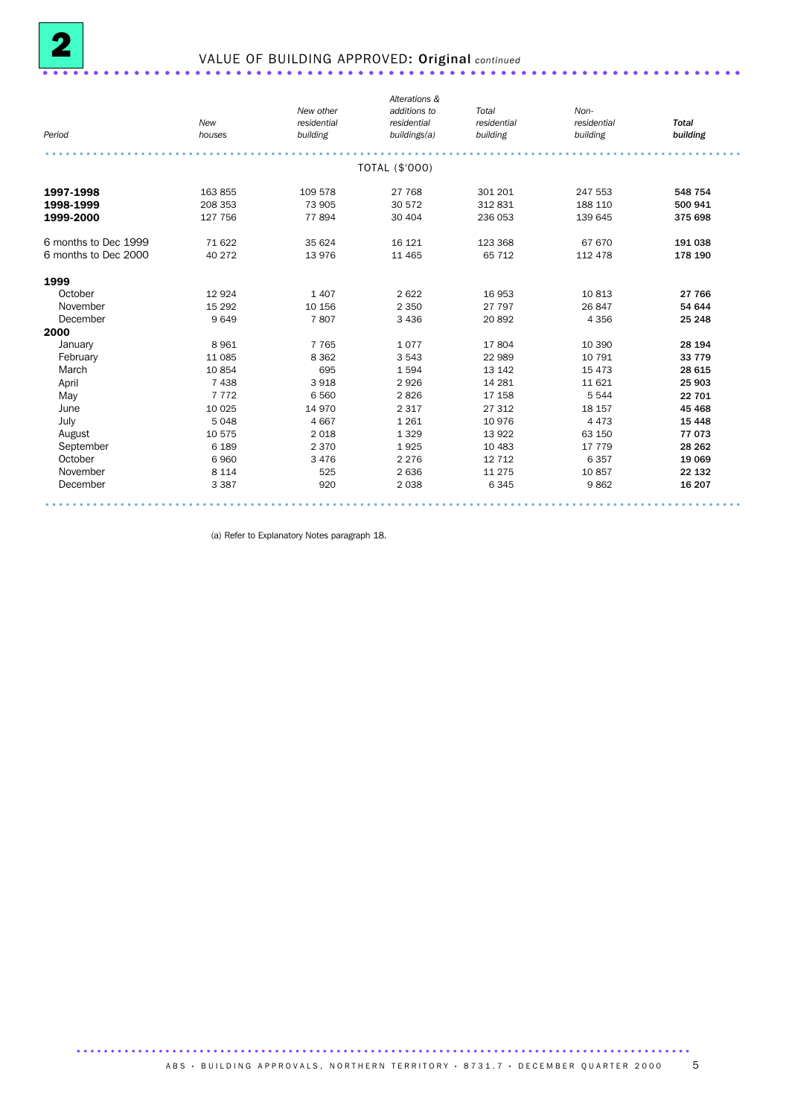

# 2 VALUE OF BUILDING APPROVED: Original *continued* .....................................................................

|                      |          |             | Alterations &  |             |             |              |
|----------------------|----------|-------------|----------------|-------------|-------------|--------------|
|                      |          | New other   | additions to   | Total       | Non-        |              |
|                      | New      | residential | residential    | residential | residential | <b>Total</b> |
| Period               | houses   | building    | buildings(a)   | building    | building    | building     |
|                      |          |             |                |             |             |              |
|                      |          |             | TOTAL (\$'000) |             |             |              |
| 1997-1998            | 163 855  | 109 578     | 27 768         | 301 201     | 247 553     | 548 754      |
| 1998-1999            | 208 353  | 73 905      | 30 572         | 312 831     | 188 110     | 500 941      |
| 1999-2000            | 127 756  | 77894       | 30 40 4        | 236 053     | 139 645     | 375 698      |
| 6 months to Dec 1999 | 71 622   | 35 624      | 16 121         | 123 368     | 67 670      | 191 038      |
| 6 months to Dec 2000 | 40 272   | 13976       | 11 4 65        | 65 712      | 112 478     | 178 190      |
| 1999                 |          |             |                |             |             |              |
| October              | 12 9 24  | 1 4 0 7     | 2622           | 16 953      | 10813       | 27 766       |
| November             | 15 2 9 2 | 10 156      | 2 3 5 0        | 27 797      | 26 847      | 54 644       |
| December             | 9649     | 7807        | 3 4 3 6        | 20 892      | 4 3 5 6     | 25 248       |
| 2000                 |          |             |                |             |             |              |
| January              | 8961     | 7 7 6 5     | 1077           | 17804       | 10 390      | 28 194       |
| February             | 11 085   | 8 3 6 2     | 3 5 4 3        | 22 989      | 10 791      | 33 7 7 9     |
| March                | 10854    | 695         | 1594           | 13 142      | 15 4 73     | 28 615       |
| April                | 7438     | 3 9 18      | 2926           | 14 28 1     | 11 621      | 25 903       |
| May                  | 7 7 7 2  | 6 5 6 0     | 2826           | 17 158      | 5 5 4 4     | 22 701       |
| June                 | 10 0 25  | 14 970      | 2 3 1 7        | 27 312      | 18 157      | 45 4 68      |
| July                 | 5048     | 4 6 6 7     | 1 2 6 1        | 10 976      | 4 4 7 3     | 15 4 48      |
| August               | 10 575   | 2018        | 1 3 2 9        | 13 9 22     | 63 150      | 77 073       |
| September            | 6 1 8 9  | 2 3 7 0     | 1925           | 10 483      | 17 779      | 28 26 2      |
| October              | 6960     | 3 4 7 6     | 2 2 7 6        | 12 7 12     | 6357        | 19 069       |
| November             | 8 1 1 4  | 525         | 2 6 3 6        | 11 275      | 10857       | 22 132       |
| December             | 3 3 8 7  | 920         | 2 0 3 8        | 6345        | 9862        | 16 207       |

(a) Refer to Explanatory Notes paragraph 18.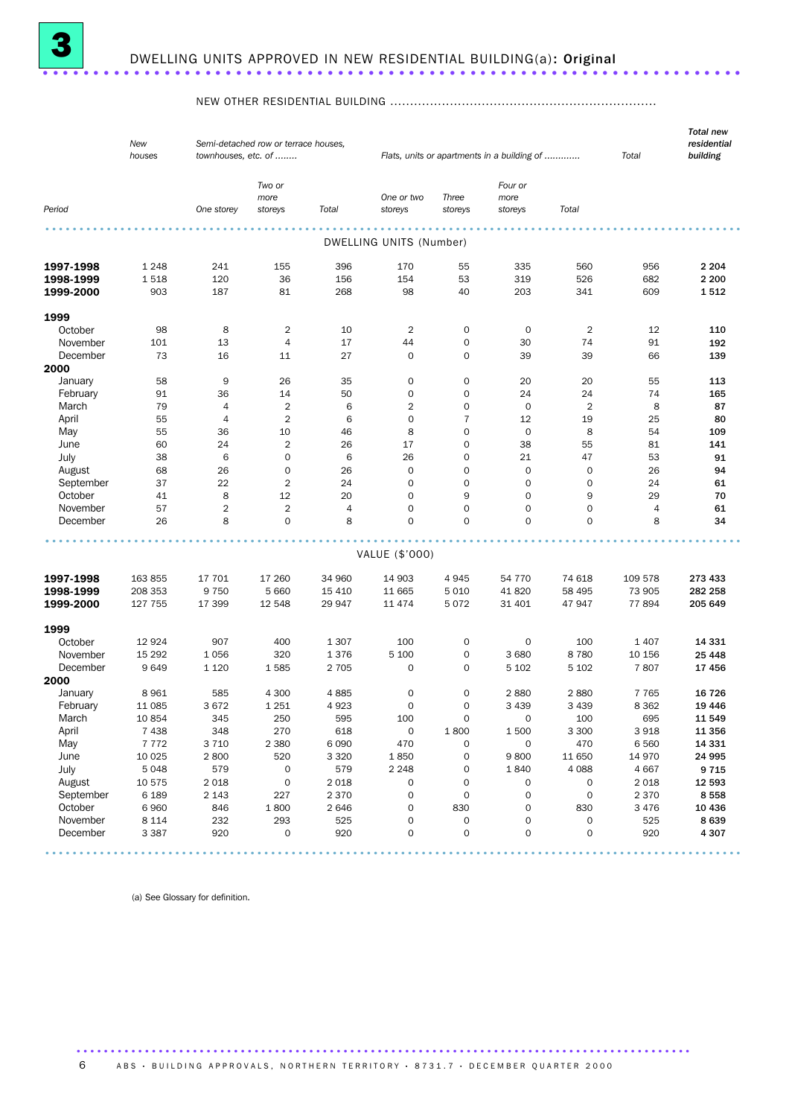

#### NEW OTHER RESIDENTIAL BUILDING ...................................................................

|           | New<br>houses      | townhouses, etc. of | Semi-detached row or terrace houses, |                   |                         |                     | Flats, units or apartments in a building of |                  | Total           | <b>Total new</b><br>residential<br>building |
|-----------|--------------------|---------------------|--------------------------------------|-------------------|-------------------------|---------------------|---------------------------------------------|------------------|-----------------|---------------------------------------------|
| Period    |                    | One storey          | Two or<br>more<br>storeys            | Total             | One or two<br>storeys   | Three<br>storeys    | Four or<br>more<br>storeys                  | Total            |                 |                                             |
|           |                    |                     |                                      |                   |                         |                     |                                             |                  |                 |                                             |
|           |                    |                     |                                      |                   | DWELLING UNITS (Number) |                     |                                             |                  |                 |                                             |
| 1997-1998 | 1 2 4 8            | 241                 | 155                                  | 396               | 170                     | 55                  | 335                                         | 560              | 956             | 2 2 0 4                                     |
| 1998-1999 | 1518               | 120                 | 36                                   | 156               | 154                     | 53                  | 319                                         | 526              | 682             | 2 2 0 0                                     |
| 1999-2000 | 903                | 187                 | 81                                   | 268               | 98                      | 40                  | 203                                         | 341              | 609             | 1512                                        |
|           |                    |                     |                                      |                   |                         |                     |                                             |                  |                 |                                             |
| 1999      |                    |                     |                                      |                   |                         |                     |                                             |                  |                 |                                             |
| October   | 98                 | 8                   | $\overline{2}$                       | 10                | $\overline{2}$          | $\mathbf 0$         | 0                                           | $\overline{2}$   | 12              | 110                                         |
| November  | 101                | 13                  | $\overline{4}$                       | 17                | 44                      | $\mathbf 0$         | 30                                          | 74               | 91              | 192                                         |
| December  | 73                 | 16                  | 11                                   | 27                | 0                       | $\mathbf 0$         | 39                                          | 39               | 66              | 139                                         |
| 2000      |                    |                     |                                      |                   |                         |                     |                                             |                  |                 |                                             |
| January   | 58                 | 9                   | 26                                   | 35                | $\mathbf 0$             | $\mathbf 0$         | 20                                          | 20               | 55              | 113                                         |
| February  | 91                 | 36                  | 14                                   | 50                | $\mathbf 0$             | $\mathbf 0$         | 24                                          | 24               | 74              | 165                                         |
| March     | 79                 | 4                   | $\overline{2}$                       | 6                 | $\overline{2}$          | 0                   | $\mathbf 0$                                 | $\overline{2}$   | 8               | 87                                          |
| April     | 55                 | 4                   | $\overline{2}$                       | 6                 | 0                       | 7                   | 12                                          | 19               | 25              | 80                                          |
| May       | 55                 | 36                  | 10                                   | 46                | 8                       | 0                   | $\mathsf{O}\xspace$                         | 8                | 54              | 109                                         |
| June      | 60                 | 24                  | $\overline{\mathbf{c}}$              | 26                | 17                      | 0                   | 38                                          | 55               | 81              | 141                                         |
| July      | 38                 | 6                   | $\mathbf 0$                          | 6                 | 26                      | 0                   | 21                                          | 47               | 53              | 91                                          |
| August    | 68                 | 26                  | 0                                    | 26                | $\mathbf 0$             | 0                   | 0                                           | 0                | 26              | 94                                          |
| September | 37                 | 22                  | $\overline{2}$                       | 24                | 0                       | $\mathbf 0$         | $\mathbf 0$                                 | 0                | 24              | 61                                          |
| October   | 41                 | 8                   | 12                                   | 20                | $\mathbf 0$             | 9                   | $\mathbf 0$                                 | 9                | 29              | 70                                          |
| November  | 57                 | $\overline{2}$      | $\mathbf 2$                          | 4                 | $\mathbf 0$             | 0                   | $\mathbf 0$                                 | 0                | $\overline{4}$  | 61                                          |
| December  | 26                 | 8                   | $\mathbf 0$                          | 8                 | $\mathbf 0$             | 0                   | $\mathbf 0$                                 | 0                | 8               | 34                                          |
|           |                    |                     |                                      |                   | VALUE (\$'000)          |                     |                                             |                  |                 |                                             |
|           |                    |                     |                                      |                   |                         |                     |                                             |                  |                 |                                             |
| 1997-1998 | 163 855            | 17 701              | 17 260                               | 34 960            | 14 903                  | 4945                | 54 770                                      | 74 618           | 109 578         | 273 433                                     |
| 1998-1999 | 208 353<br>127 755 | 9 7 5 0<br>17 399   | 5 6 6 0<br>12 548                    | 15 4 10<br>29 947 | 11 665<br>11 474        | 5 0 1 0<br>5072     | 41 820<br>31 401                            | 58 4 95<br>47947 | 73 905<br>77894 | 282 258<br>205 649                          |
| 1999-2000 |                    |                     |                                      |                   |                         |                     |                                             |                  |                 |                                             |
| 1999      |                    |                     |                                      |                   |                         |                     |                                             |                  |                 |                                             |
| October   | 12 9 24            | 907                 | 400                                  | 1 3 0 7           | 100                     | 0                   | 0                                           | 100              | 1 4 0 7         | 14 331                                      |
| November  | 15 2 9 2           | 1056                | 320                                  | 1376              | 5 100                   | 0                   | 3 6 8 0                                     | 8780             | 10 156          | 25 4 48                                     |
| December  | 9649               | 1 1 2 0             | 1585                                 | 2 7 0 5           | 0                       | 0                   | 5 1 0 2                                     | 5 1 0 2          | 7807            | 17456                                       |
| 2000      |                    |                     |                                      |                   |                         |                     |                                             |                  |                 |                                             |
| January   | 8 9 6 1            | 585                 | 4 300                                | 4885              | 0                       | $\mathsf{O}\xspace$ | 2880                                        | 2880             | 7765            | 16 7 26                                     |
| February  | 11 0 85            | 3672                | 1 2 5 1                              | 4923              | $\mathbf 0$             | 0                   | 3 4 3 9                                     | 3 4 3 9          | 8 3 6 2         | 19 4 46                                     |
| March     | 10 854             | 345                 | 250                                  | 595               | 100                     | 0                   | $\mathbf 0$                                 | 100              | 695             | 11 549                                      |
| April     | 7 4 3 8            | 348                 | 270                                  | 618               | 0                       | 1800                | 1 500                                       | 3 3 0 0          | 3918            | 11 356                                      |
| May       | 7772               | 3 7 1 0             | 2 3 8 0                              | 6 0 9 0           | 470                     | 0                   | $\mathbf 0$                                 | 470              | 6 5 6 0         | 14 3 31                                     |
| June      | 10 0 25            | 2800                | 520                                  | 3 3 2 0           | 1850                    | 0                   | 9800                                        | 11 650           | 14 970          | 24 995                                      |
| July      | 5 0 4 8            | 579                 | 0                                    | 579               | 2 2 4 8                 | 0                   | 1840                                        | 4 0 8 8          | 4 6 6 7         | 9 7 1 5                                     |
| August    | 10 575             | 2018                | $\mathbf 0$                          | 2 0 18            | 0                       | 0                   | 0                                           | $\mathbf 0$      | 2018            | 12 593                                      |
| September | 6 1 8 9            | 2 1 4 3             | 227                                  | 2 3 7 0           | 0                       | 0                   | 0                                           | $\mathbf 0$      | 2 3 7 0         | 8558                                        |
| October   | 6960               | 846                 | 1800                                 | 2646              | 0                       | 830                 | 0                                           | 830              | 3 4 7 6         | 10 4 36                                     |
| November  | 8 1 1 4            | 232                 | 293                                  | 525               | 0                       | $\mathbf 0$         | 0                                           | $\mathbf 0$      | 525             | 8639                                        |
| December  | 3 3 8 7            | 920                 | $\mathbf 0$                          | 920               | 0                       | $\mathbf 0$         | $\mathbf 0$                                 | $\mathbf 0$      | 920             | 4 3 0 7                                     |
|           |                    |                     |                                      |                   |                         |                     |                                             |                  |                 |                                             |

(a) See Glossary for definition.

6 ABS · BUILDING APPROVALS, NORTHERN TERRITORY · 8731.7 · DECEMBER QUARTER 2000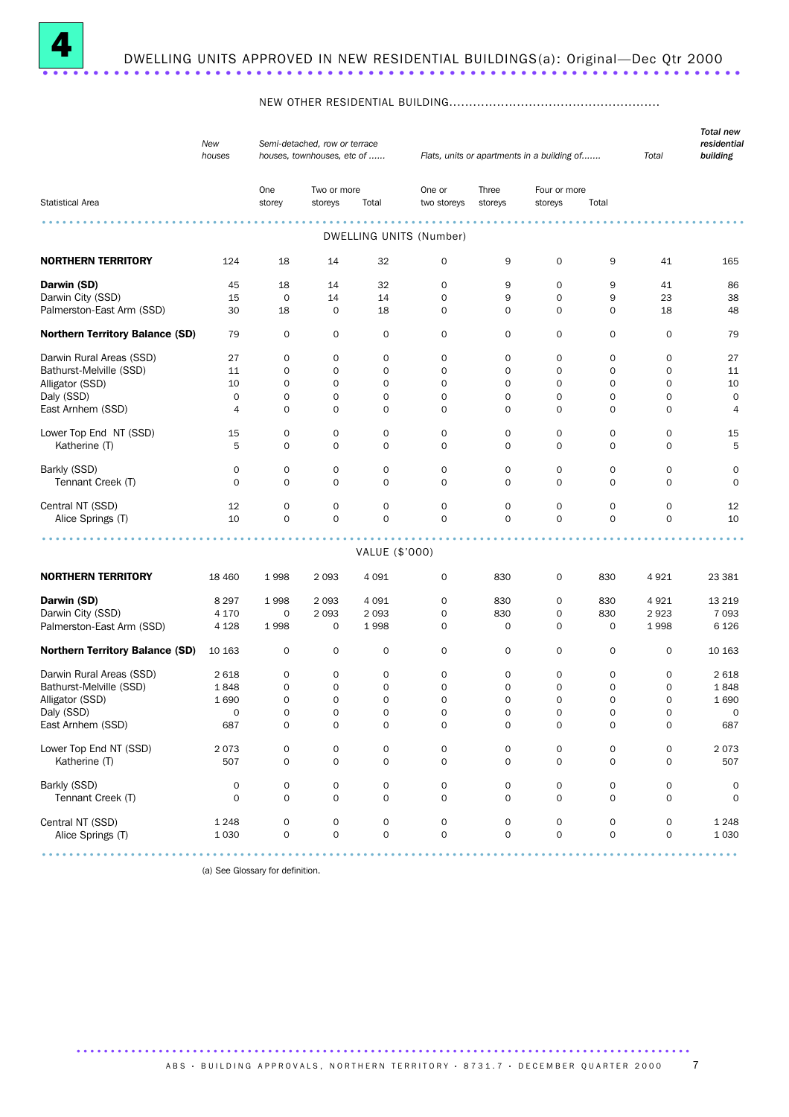

#### NEW OTHER RESIDENTIAL BUILDING.....................................................

|                                        | New<br>houses      |                                    | Semi-detached, row or terrace<br>houses, townhouses, etc of |                                    |                                            |                                    | Flats, units or apartments in a building of |                                    | Total                              | <b>Total new</b><br>residential<br>building |
|----------------------------------------|--------------------|------------------------------------|-------------------------------------------------------------|------------------------------------|--------------------------------------------|------------------------------------|---------------------------------------------|------------------------------------|------------------------------------|---------------------------------------------|
|                                        |                    | One                                | Two or more                                                 |                                    | One or                                     | Three                              | Four or more                                |                                    |                                    |                                             |
| <b>Statistical Area</b>                |                    | storey                             | storeys                                                     | Total                              | two storeys                                | storeys                            | storeys                                     | Total                              |                                    |                                             |
|                                        |                    |                                    |                                                             |                                    | .<br>DWELLING UNITS (Number)               |                                    |                                             |                                    |                                    |                                             |
| <b>NORTHERN TERRITORY</b>              | 124                | 18                                 | 14                                                          | 32                                 | 0                                          | 9                                  | $\mathbf 0$                                 | 9                                  | 41                                 | 165                                         |
| Darwin (SD)                            | 45                 | 18                                 | 14                                                          | 32                                 | 0                                          | 9                                  | $\mathbf 0$                                 | 9                                  | 41                                 | 86                                          |
| Darwin City (SSD)                      | 15                 | 0                                  | 14                                                          | 14                                 | $\mathbf 0$                                | 9                                  | 0                                           | 9                                  | 23                                 | 38                                          |
| Palmerston-East Arm (SSD)              | 30                 | 18                                 | $\mathbf 0$                                                 | 18                                 | 0                                          | $\mathbf 0$                        | $\mathbf 0$                                 | $\mathbf 0$                        | 18                                 | 48                                          |
| <b>Northern Territory Balance (SD)</b> | 79                 | 0                                  | 0                                                           | 0                                  | 0                                          | 0                                  | $\mathbf 0$                                 | 0                                  | 0                                  | 79                                          |
| Darwin Rural Areas (SSD)               | 27                 | 0                                  | 0                                                           | 0                                  | 0                                          | 0                                  | 0                                           | 0                                  | 0                                  | 27                                          |
| Bathurst-Melville (SSD)                | 11                 | 0                                  | $\mathbf 0$                                                 | $\mathbf 0$                        | $\mathbf 0$                                | $\mathbf 0$                        | $\mathbf 0$                                 | 0                                  | 0                                  | 11                                          |
| Alligator (SSD)                        | 10                 | 0                                  | $\mathbf 0$                                                 | $\mathbf 0$                        | $\mathbf 0$                                | $\mathbf 0$                        | $\mathsf{O}\xspace$                         | 0                                  | $\mathbf 0$                        | 10                                          |
| Daly (SSD)                             | $\mathbf 0$        | $\mathbf 0$                        | $\mathbf 0$                                                 | 0                                  | $\mathbf 0$                                | $\mathbf 0$                        | $\mathbf 0$                                 | $\mathbf 0$                        | $\mathbf 0$                        | $\mathbf 0$                                 |
| East Arnhem (SSD)                      | 4                  | 0                                  | $\mathbf 0$                                                 | $\mathbf 0$                        | $\mathbf 0$                                | 0                                  | 0                                           | 0                                  | 0                                  | $\overline{4}$                              |
| Lower Top End NT (SSD)                 | 15                 | 0                                  | 0                                                           | 0                                  | 0                                          | 0                                  | 0                                           | 0                                  | 0                                  | 15                                          |
| Katherine (T)                          | 5                  | $\mathbf 0$                        | 0                                                           | 0                                  | 0                                          | $\mathbf 0$                        | 0                                           | 0                                  | 0                                  | 5                                           |
| Barkly (SSD)                           | 0                  | 0                                  | 0                                                           | 0                                  | 0                                          | $\mathbf 0$                        | $\mathbf 0$                                 | 0                                  | 0                                  | 0                                           |
| Tennant Creek (T)                      | $\mathbf 0$        | $\mathbf 0$                        | $\mathbf 0$                                                 | $\mathbf{O}$                       | $\mathbf 0$                                | $\mathbf 0$                        | $\mathbf 0$                                 | $\mathbf 0$                        | $\Omega$                           | $\mathbf 0$                                 |
|                                        |                    |                                    |                                                             |                                    |                                            |                                    |                                             |                                    |                                    |                                             |
| Central NT (SSD)<br>Alice Springs (T)  | 12<br>10           | 0<br>$\mathbf 0$                   | $\mathbf 0$<br>$\mathbf 0$                                  | 0<br>$\mathbf{O}$                  | 0<br>$\mathbf 0$                           | $\mathbf 0$<br>$\mathbf 0$         | 0<br>$\mathbf 0$                            | 0<br>$\mathbf 0$                   | 0<br>$\mathbf 0$                   | 12<br>10                                    |
|                                        |                    |                                    |                                                             |                                    |                                            |                                    |                                             |                                    |                                    |                                             |
|                                        |                    |                                    |                                                             | VALUE (\$'000)                     |                                            |                                    |                                             |                                    |                                    |                                             |
| <b>NORTHERN TERRITORY</b>              | 18 4 60            | 1998                               | 2 0 9 3                                                     | 4 0 9 1                            | 0                                          | 830                                | 0                                           | 830                                | 4921                               | 23 381                                      |
| Darwin (SD)                            | 8 2 9 7            | 1998                               | 2 0 9 3                                                     | 4 0 9 1                            | 0                                          | 830                                | 0                                           | 830                                | 4921                               | 13 2 19                                     |
| Darwin City (SSD)                      | 4 1 7 0            | 0                                  | 2 0 9 3                                                     | 2 0 9 3                            | $\mathbf 0$                                | 830                                | $\mathbf 0$                                 | 830                                | 2923                               | 7 0 9 3                                     |
| Palmerston-East Arm (SSD)              | 4 1 2 8            | 1998                               | 0                                                           | 1998                               | $\mathbf 0$                                | $\mathbf 0$                        | $\mathbf 0$                                 | $\mathbf 0$                        | 1998                               | 6 1 2 6                                     |
| <b>Northern Territory Balance (SD)</b> | 10 163             | 0                                  | 0                                                           | 0                                  | 0                                          | 0                                  | 0                                           | 0                                  | 0                                  | 10 163                                      |
| Darwin Rural Areas (SSD)               | 2618               | 0                                  | 0                                                           | 0                                  | 0                                          | 0                                  | 0                                           | 0                                  | 0                                  | 2 6 18                                      |
| Bathurst-Melville (SSD)                | 1848               | 0                                  | $\mathbf 0$                                                 | 0                                  | $\mathbf 0$                                | $\mathbf 0$                        | $\mathbf 0$                                 | 0                                  | 0                                  | 1848                                        |
| Alligator (SSD)                        | 1690               | 0                                  | $\mathbf 0$                                                 | $\mathbf 0$                        | $\mathbf 0$                                | $\mathbf 0$                        | $\mathbf 0$                                 | $\mathbf 0$                        | 0                                  | 1690                                        |
| Daly (SSD)                             | 0                  | $\mathbf 0$                        | $\mathbf 0$                                                 | 0                                  | $\mathbf 0$                                | $\mathbf 0$                        | $\mathbf 0$                                 | 0                                  | 0                                  | $\mathbf 0$                                 |
| East Arnhem (SSD)                      | 687                | $\mathsf{O}\xspace$                | $\mathbf 0$                                                 | $\mathsf{O}\xspace$                | $\mathsf{O}\xspace$                        | $\mathsf{O}\xspace$                | $\mathsf{O}\xspace$                         | $\mathsf{O}\xspace$                | $\mathsf O$                        | 687                                         |
| Lower Top End NT (SSD)                 | 2073               | $\mathsf{O}\xspace$                | $\mathsf{O}\xspace$                                         | $\mathsf{O}\xspace$                | $\mathsf{O}\xspace$                        | $\mathsf{O}\xspace$                | 0                                           | $\mathbf 0$                        | $\mathsf{O}\xspace$                | 2073                                        |
| Katherine (T)                          | 507                | $\mathbf 0$                        | $\mathbf 0$                                                 | $\mathbf 0$                        | $\mathbf 0$                                | $\mathbf 0$                        | $\mathsf{O}\xspace$                         | $\mathbf 0$                        | $\mathbf 0$                        | 507                                         |
| Barkly (SSD)                           | 0                  | $\mathsf{O}\xspace$                | 0                                                           | $\mathbf 0$                        | 0                                          | $\mathsf{O}\xspace$                | 0                                           | 0                                  | 0                                  | 0                                           |
| Tennant Creek (T)                      | $\mathbf 0$        | $\mathbf 0$                        | $\mathbf 0$                                                 | $\mathsf O$                        | $\mathbf 0$                                | $\mathbf 0$                        | $\mathbf 0$                                 | $\mathbf 0$                        | $\mathbf 0$                        | $\mathbf 0$                                 |
|                                        |                    |                                    |                                                             |                                    |                                            |                                    |                                             |                                    |                                    |                                             |
| Central NT (SSD)<br>Alice Springs (T)  | 1 2 4 8<br>1 0 3 0 | $\mathbf 0$<br>$\mathsf{O}\xspace$ | $\mathsf{O}\xspace$<br>$\mathsf{O}\xspace$                  | $\mathsf{O}\xspace$<br>$\mathbf 0$ | $\mathsf{O}\xspace$<br>$\mathsf{O}\xspace$ | $\mathsf{O}\xspace$<br>$\mathbf 0$ | 0<br>$\mathsf{O}\xspace$                    | $\mathbf 0$<br>$\mathsf{O}\xspace$ | $\mathsf{O}\xspace$<br>$\mathbf 0$ | 1 2 4 8<br>1 0 3 0                          |
|                                        |                    |                                    |                                                             |                                    |                                            |                                    |                                             |                                    |                                    |                                             |

(a) See Glossary for definition.

A B S · BUILDING APPROVALS, NORTHERN TERRITORY · 8731.7 · DECEMBER QUARTER 2000 7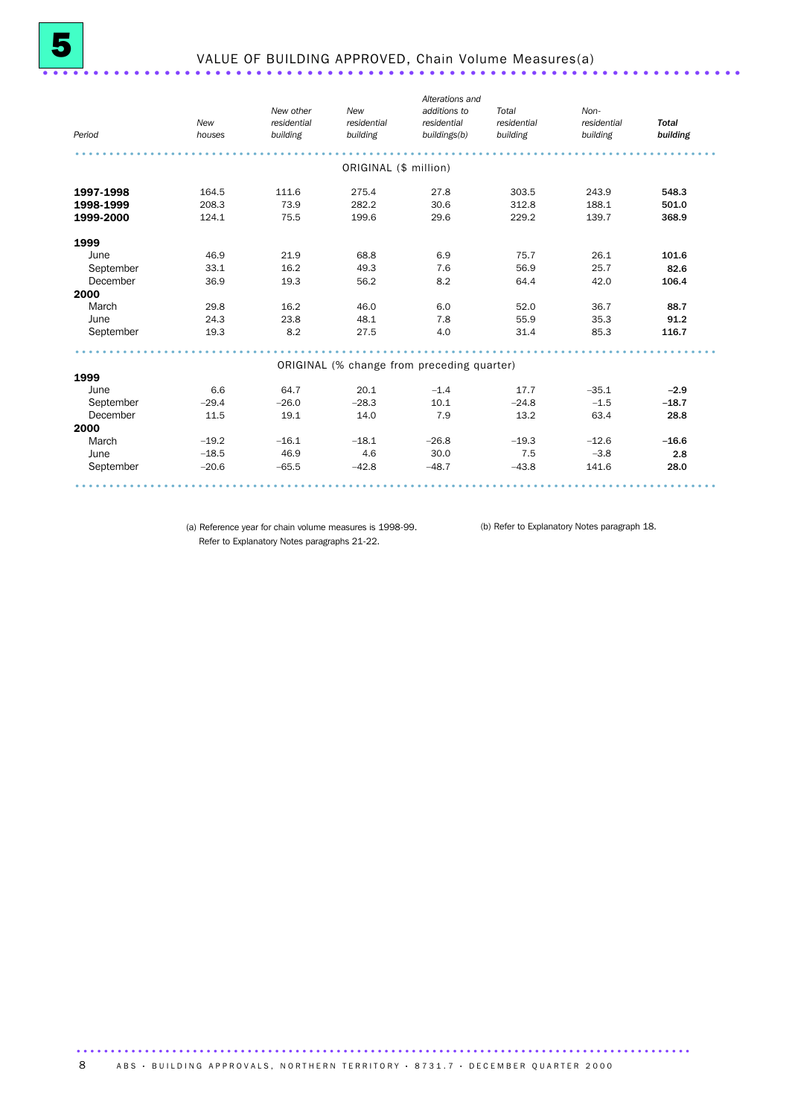| Period    | New<br>houses | New other<br>residential<br>building | New<br>residential<br>building | Alterations and<br>additions to<br>residential<br>buildings(b) | Total<br>residential<br>building | Non-<br>residential<br>building | <b>Total</b><br>building |
|-----------|---------------|--------------------------------------|--------------------------------|----------------------------------------------------------------|----------------------------------|---------------------------------|--------------------------|
|           |               |                                      | ORIGINAL (\$ million)          |                                                                |                                  |                                 |                          |
| 1997-1998 | 164.5         | 111.6                                | 275.4                          | 27.8                                                           | 303.5                            | 243.9                           | 548.3                    |
| 1998-1999 | 208.3         | 73.9                                 | 282.2                          | 30.6                                                           | 312.8                            | 188.1                           | 501.0                    |
| 1999-2000 | 124.1         | 75.5                                 | 199.6                          | 29.6                                                           | 229.2                            | 139.7                           | 368.9                    |
| 1999      |               |                                      |                                |                                                                |                                  |                                 |                          |
| June      | 46.9          | 21.9                                 | 68.8                           | 6.9                                                            | 75.7                             | 26.1                            | 101.6                    |
| September | 33.1          | 16.2                                 | 49.3                           | 7.6                                                            | 56.9                             | 25.7                            | 82.6                     |
| December  | 36.9          | 19.3                                 | 56.2                           | 8.2                                                            | 64.4                             | 42.0                            | 106.4                    |
| 2000      |               |                                      |                                |                                                                |                                  |                                 |                          |
| March     | 29.8          | 16.2                                 | 46.0                           | 6.0                                                            | 52.0                             | 36.7                            | 88.7                     |
| June      | 24.3          | 23.8                                 | 48.1                           | 7.8                                                            | 55.9                             | 35.3                            | 91.2                     |
| September | 19.3          | 8.2                                  | 27.5                           | 4.0                                                            | 31.4                             | 85.3                            | 116.7                    |
|           |               |                                      |                                | ORIGINAL (% change from preceding quarter)                     |                                  |                                 |                          |
| 1999      |               |                                      |                                |                                                                |                                  |                                 |                          |
| June      | 6.6           | 64.7                                 | 20.1                           | $-1.4$                                                         | 17.7                             | $-35.1$                         | $-2.9$                   |
| September | $-29.4$       | $-26.0$                              | $-28.3$                        | 10.1                                                           | $-24.8$                          | $-1.5$                          | $-18.7$                  |
| December  | 11.5          | 19.1                                 | 14.0                           | 7.9                                                            | 13.2                             | 63.4                            | 28.8                     |
| 2000      |               |                                      |                                |                                                                |                                  |                                 |                          |
| March     | $-19.2$       | $-16.1$                              | $-18.1$                        | $-26.8$                                                        | $-19.3$                          | $-12.6$                         | $-16.6$                  |
| June      | $-18.5$       | 46.9                                 | 4.6                            | 30.0                                                           | 7.5                              | $-3.8$                          | 2.8                      |
| September | $-20.6$       | $-65.5$                              | $-42.8$                        | $-48.7$                                                        | $-43.8$                          | 141.6                           | 28.0                     |

(a) Reference year for chain volume measures is 1998-99. (b) Refer to Explanatory Notes paragraph 18.Refer to Explanatory Notes paragraphs 21-22.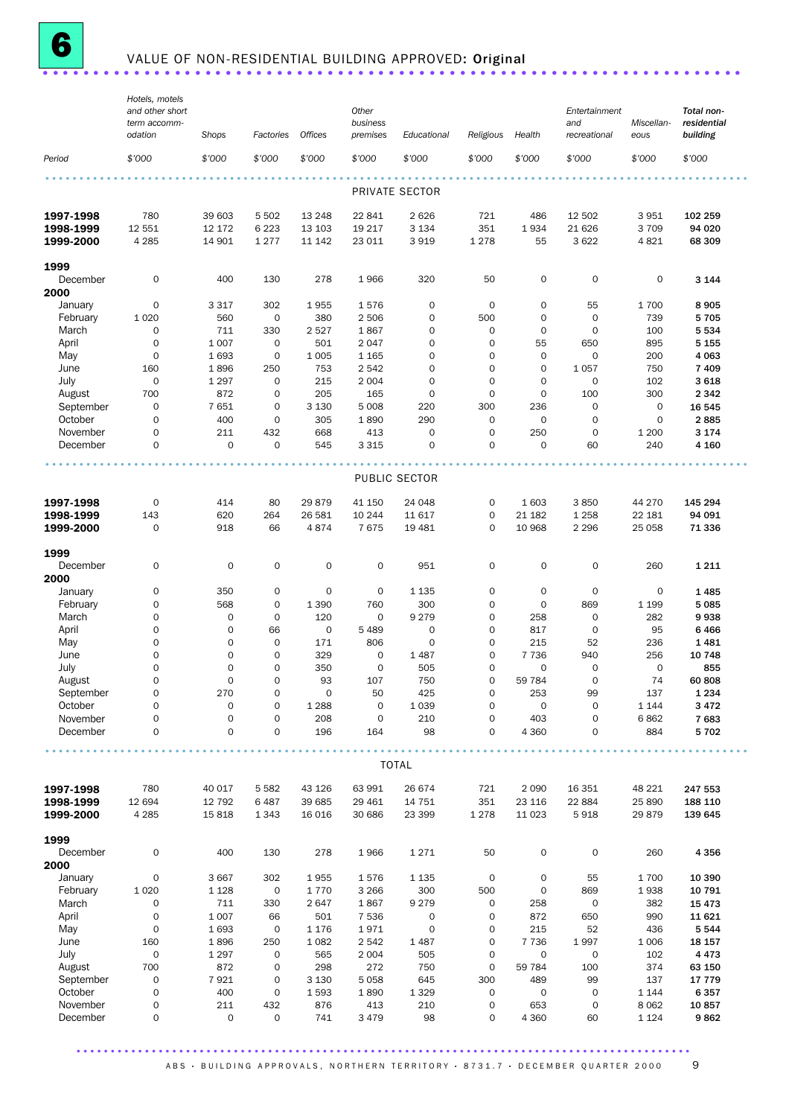

# **6** VALUE OF NON-RESIDENTIAL BUILDING APPROVED: Original ........................

|                        | Hotels, motels<br>and other short  |                  |                            |                     | Other                      |                            |                            |                               | Entertainment              |                    | Total non-              |
|------------------------|------------------------------------|------------------|----------------------------|---------------------|----------------------------|----------------------------|----------------------------|-------------------------------|----------------------------|--------------------|-------------------------|
|                        | term accomm-<br>odation            | Shops            | Factories                  | Offices             | business<br>premises       | Educational                | Religious                  | Health                        | and<br>recreational        | Miscellan-<br>eous | residential<br>building |
| Period                 | \$'000                             | \$'000           | \$'000                     | \$'000              | \$'000                     | \$'000                     | \$'000                     | \$'000                        | \$'000                     | \$7000             | \$'000                  |
|                        |                                    |                  |                            |                     |                            | PRIVATE SECTOR             |                            |                               |                            |                    |                         |
| 1997-1998              | 780                                | 39 603           | 5 5 0 2                    | 13 2 48             | 22 841                     | 2 6 2 6                    | 721                        | 486                           | 12 502                     | 3 951              | 102 259                 |
| 1998-1999              | 12 551                             | 12 172           | 6 2 2 3                    | 13 103              | 19 217                     | 3 1 3 4                    | 351                        | 1934                          | 21 6 26                    | 3 7 0 9            | 94 020                  |
| 1999-2000              | 4 2 8 5                            | 14 901           | 1 2 7 7                    | 11 142              | 23 011                     | 3919                       | 1278                       | 55                            | 3622                       | 4821               | 68 309                  |
| 1999                   |                                    |                  |                            |                     |                            |                            |                            |                               |                            |                    |                         |
| December               | $\mathbf 0$                        | 400              | 130                        | 278                 | 1966                       | 320                        | 50                         | 0                             | $\mathbf 0$                | $\mathbf 0$        | 3 1 4 4                 |
| 2000<br>January        | 0                                  | 3 3 1 7          | 302                        | 1955                | 1576                       | $\mathbf 0$                | $\mathbf 0$                | 0                             | 55                         | 1700               | 8 9 0 5                 |
| February               | 1 0 2 0                            | 560              | $\mathbf 0$                | 380                 | 2 5 0 6                    | $\mathbf 0$                | 500                        | $\mathbf 0$                   | $\mathbf 0$                | 739                | 5 7 0 5                 |
| March                  | $\mathbf 0$                        | 711              | 330                        | 2527                | 1867                       | $\mathbf 0$                | 0                          | 0                             | $\mathbf 0$                | 100                | 5 5 3 4                 |
| April                  | $\mathsf{O}\xspace$                | 1 0 0 7          | $\mathbf 0$                | 501                 | 2047                       | $\mathbf 0$                | $\mathbf 0$                | 55                            | 650                        | 895                | 5 1 5 5                 |
| May                    | $\mathsf{O}\xspace$                | 1693             | $\mathbf 0$                | 1 0 0 5             | 1 1 6 5                    | $\mathbf 0$                | $\overline{O}$             | $\mathbf 0$                   | $\mathbf 0$                | 200                | 4 0 63                  |
| June<br>July           | 160<br>$\mathbf 0$                 | 1896<br>1 2 9 7  | 250<br>$\mathbf 0$         | 753<br>215          | 2 5 4 2<br>2 0 0 4         | $\mathbf 0$<br>$\mathbf 0$ | $\mathbf 0$<br>$\mathbf 0$ | $\mathbf 0$<br>$\overline{0}$ | 1 0 5 7<br>$\mathbf 0$     | 750<br>102         | 7 4 0 9<br>3 6 18       |
| August                 | 700                                | 872              | 0                          | 205                 | 165                        | $\mathbf 0$                | $\overline{0}$             | $\mathbf 0$                   | 100                        | 300                | 2 3 4 2                 |
| September              | $\mathsf{O}\xspace$                | 7651             | $\mathbf 0$                | 3 1 3 0             | 5 0 0 8                    | 220                        | 300                        | 236                           | $\mathsf{O}\xspace$        | $\mathbf 0$        | 16 545                  |
| October                | $\mathbf 0$                        | 400              | 0                          | 305                 | 1890                       | 290                        | 0                          | $\mathbf 0$                   | $\mathbf 0$                | $\mathbf 0$        | 2885                    |
| November               | $\mathbf 0$                        | 211              | 432                        | 668                 | 413                        | $\mathbf 0$                | 0                          | 250                           | $\mathbf 0$                | 1 200              | 3 1 7 4                 |
| December               | $\mathbf 0$                        | $\mathbf 0$      | $\mathbf 0$                | 545                 | 3 3 1 5                    | $\mathbf 0$                | $\mathbf 0$                | $\overline{O}$                | 60                         | 240                | 4 1 6 0                 |
|                        |                                    |                  |                            |                     |                            | PUBLIC SECTOR              |                            |                               |                            |                    |                         |
|                        |                                    |                  |                            |                     |                            |                            |                            |                               |                            |                    |                         |
| 1997-1998<br>1998-1999 | $\mathbf 0$<br>143                 | 414<br>620       | 80<br>264                  | 29879<br>26 581     | 41 150<br>10 244           | 24 048<br>11 617           | 0<br>$\mathbf 0$           | 1 603<br>21 182               | 3850<br>1 2 5 8            | 44 270<br>22 181   | 145 294<br>94 091       |
| 1999-2000              | $\mathbf 0$                        | 918              | 66                         | 4874                | 7675                       | 19 4 81                    | $\mathbf 0$                | 10 968                        | 2 2 9 6                    | 25 0 58            | 71 336                  |
|                        |                                    |                  |                            |                     |                            |                            |                            |                               |                            |                    |                         |
| 1999                   |                                    |                  |                            |                     |                            |                            |                            |                               |                            |                    |                         |
| December               | $\mathbf 0$                        | $\mathbf 0$      | $\mathsf O$                | $\mathbf 0$         | $\mathsf{O}$               | 951                        | $\mathbf 0$                | 0                             | $\mathsf{O}\xspace$        | 260                | 1 2 1 1                 |
| 2000<br>January        | 0                                  | 350              | $\mathbf 0$                | $\mathbf 0$         | $\mathbf 0$                | 1 1 3 5                    | $\mathsf{O}\xspace$        | $\mathbf 0$                   | $\mathbf 0$                | $\mathbf 0$        | 1485                    |
| February               | 0                                  | 568              | $\mathbf 0$                | 1 3 9 0             | 760                        | 300                        | $\mathbf 0$                | $\mathbf 0$                   | 869                        | 1 1 9 9            | 5 0 8 5                 |
| March                  | $\mathbf 0$                        | $\mathbf 0$      | 0                          | 120                 | $\mathbf 0$                | 9 2 7 9                    | $\mathbf 0$                | 258                           | $\mathbf 0$                | 282                | 9938                    |
| April                  | $\mathsf{O}\xspace$                | 0                | 66                         | $\mathbf 0$         | 5 4 8 9                    | $\mathbf 0$                | $\mathbf 0$                | 817                           | $\mathbf 0$                | 95                 | 6466                    |
| May                    | $\mathbf 0$                        | 0                | $\mathbf 0$                | 171                 | 806                        | $\mathbf 0$                | $\mathbf 0$                | 215                           | 52                         | 236                | 1481                    |
| June<br>July           | $\mathbf 0$<br>$\mathsf{O}\xspace$ | 0<br>0           | $\mathbf 0$<br>$\mathbf 0$ | 329<br>350          | $\mathbf 0$<br>$\mathbf 0$ | 1 4 8 7<br>505             | 0<br>$\mathbf 0$           | 7 7 3 6<br>0                  | 940<br>$\mathsf{O}\xspace$ | 256<br>$\mathbf 0$ | 10 748<br>855           |
| August                 | $\mathbf 0$                        | $\Omega$         | $\Omega$                   | 93                  | 107                        | 750                        | $\Omega$                   | 59 784                        | $\mathbf 0$                | 74                 | 60 808                  |
| September              | $\mathsf{O}\xspace$                | 270              | $\mathsf{O}\xspace$        | $\mathsf{O}\xspace$ | 50                         | 425                        | 0                          | 253                           | 99                         | 137                | 1 2 3 4                 |
| October                | $\mathbf 0$                        | $\mathbf 0$      | 0                          | 1 2 8 8             | $\mathsf{O}$               | 1 0 3 9                    | 0                          | 0                             | $\mathbf 0$                | 1 1 4 4            | 3 4 7 2                 |
| November               | 0                                  | $\mathsf O$      | 0                          | 208                 | $\mathbf 0$                | 210                        | 0                          | 403                           | $\mathbf 0$                | 6862               | 7683                    |
| December               | $\mathbf 0$                        | 0                | 0                          | 196                 | 164                        | 98                         | 0                          | 4 3 6 0                       | $\mathbf 0$                | 884                | 5 7 0 2                 |
|                        |                                    |                  |                            |                     |                            | <b>TOTAL</b>               |                            |                               |                            |                    |                         |
|                        |                                    |                  |                            |                     |                            |                            |                            |                               |                            |                    |                         |
| 1997-1998<br>1998-1999 | 780<br>12 694                      | 40 017<br>12 792 | 5 5 8 2<br>6487            | 43 1 26<br>39 685   | 63 991<br>29 4 61          | 26 674<br>14 751           | 721<br>351                 | 2 0 9 0<br>23 116             | 16 351<br>22 884           | 48 221<br>25 890   | 247 553<br>188 110      |
| 1999-2000              | 4 2 8 5                            | 15818            | 1 3 4 3                    | 16 016              | 30 686                     | 23 399                     | 1 2 7 8                    | 11 0 23                       | 5918                       | 29879              | 139 645                 |
| 1999                   |                                    |                  |                            |                     |                            |                            |                            |                               |                            |                    |                         |
| December               | $\mathsf O$                        | 400              | 130                        | 278                 | 1966                       | 1271                       | 50                         | 0                             | $\mathbf 0$                | 260                | 4 3 5 6                 |
| 2000                   |                                    |                  |                            |                     |                            |                            |                            |                               |                            |                    |                         |
| January                | 0                                  | 3 6 6 7          | 302                        | 1955                | 1576                       | 1 1 3 5                    | $\mathbf 0$                | 0                             | 55                         | 1700               | 10 390                  |
| February               | 1 0 2 0                            | 1 1 2 8          | $\mathsf{O}\xspace$        | 1770                | 3 2 6 6                    | 300<br>9 2 7 9             | 500                        | $\mathsf{O}\xspace$           | 869                        | 1938               | 10 791                  |
| March<br>April         | $\mathbf 0$<br>0                   | 711<br>1 0 0 7   | 330<br>66                  | 2647<br>501         | 1867<br>7 5 3 6            | $\mathsf{O}\xspace$        | 0<br>0                     | 258<br>872                    | $\mathsf{O}\xspace$<br>650 | 382<br>990         | 15 4 73<br>11 621       |
| May                    | $\mathsf{O}\xspace$                | 1693             | $\mathbf 0$                | 1 1 7 6             | 1971                       | $\mathsf{O}\xspace$        | 0                          | 215                           | 52                         | 436                | 5 5 4 4                 |
| June                   | 160                                | 1896             | 250                        | 1 0 8 2             | 2 5 4 2                    | 1 4 8 7                    | $\mathsf{O}\xspace$        | 7 7 3 6                       | 1997                       | 1 0 0 6            | 18 157                  |
| July                   | $\mathsf O$                        | 1 2 9 7          | $\mathsf{O}\xspace$        | 565                 | 2 0 0 4                    | 505                        | $\mathsf{O}\xspace$        | $\mathbf 0$                   | $\mathbf 0$                | 102                | 4 4 7 3                 |
| August                 | 700                                | 872              | 0                          | 298                 | 272                        | 750                        | $\mathbf 0$                | 59 784                        | 100                        | 374                | 63 150                  |
| September              | $\mathsf{O}\xspace$                | 7921             | $\mathsf O$                | 3 1 3 0             | 5 0 5 8                    | 645                        | 300                        | 489                           | 99                         | 137                | 17 779                  |
| October<br>November    | 0<br>0                             | 400<br>211       | 0<br>432                   | 1593<br>876         | 1890<br>413                | 1 3 2 9<br>210             | 0<br>0                     | $\mathsf O$<br>653            | $\mathbf 0$<br>0           | 1 1 4 4<br>8 0 6 2 | 6 3 5 7<br>10857        |
| December               | 0                                  | $\mathsf O$      | 0                          | 741                 | 3 4 7 9                    | 98                         | 0                          | 4 3 6 0                       | 60                         | 1 1 2 4            | 9862                    |
|                        |                                    |                  |                            |                     |                            |                            |                            |                               |                            |                    |                         |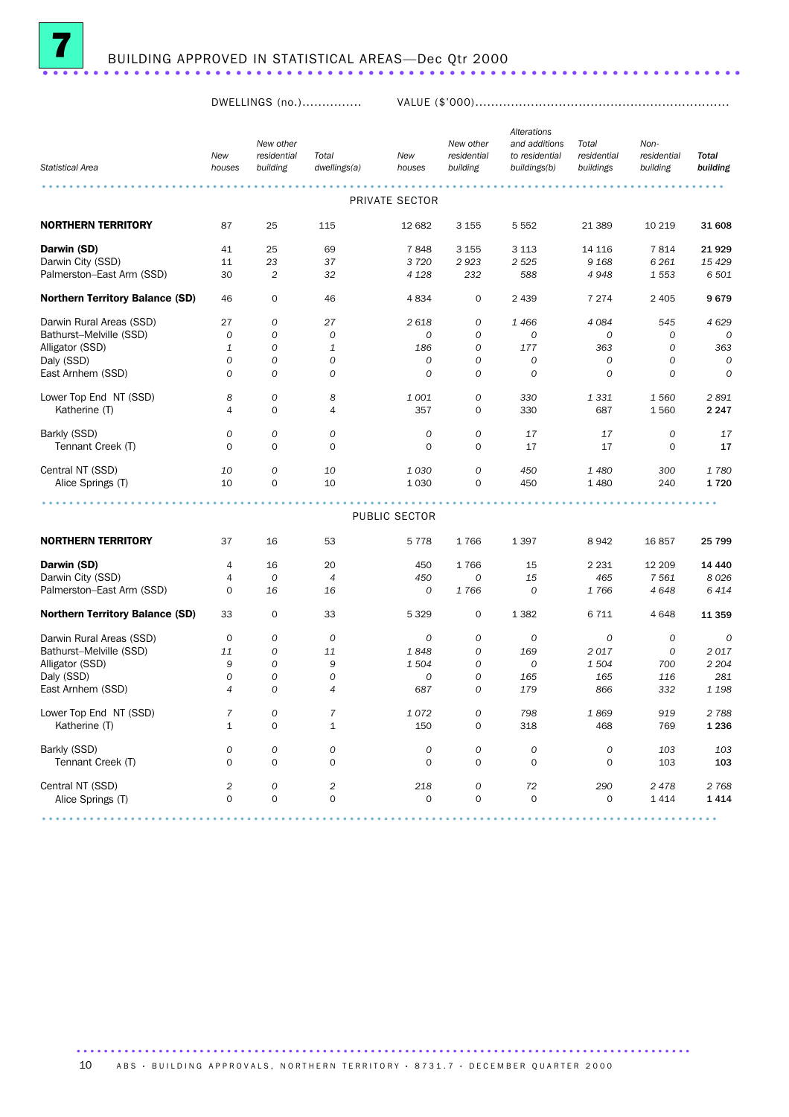

DWELLINGS (no.)............... VALUE (\$'000)................................................................

|                                        | New                     | New other<br>residential | Total               | New              | New other<br>residential | Alterations<br>and additions<br>to residential | Total<br>residential | Non-<br>residential | <b>Total</b>                                                                                                    |
|----------------------------------------|-------------------------|--------------------------|---------------------|------------------|--------------------------|------------------------------------------------|----------------------|---------------------|-----------------------------------------------------------------------------------------------------------------|
| <b>Statistical Area</b>                | houses                  | building                 | dwellings(a)        | houses           | building                 | buildings(b)                                   | buildings            | building            | building                                                                                                        |
|                                        |                         |                          |                     | PRIVATE SECTOR   |                          |                                                |                      |                     | $\begin{array}{cccccccccccccc} \bullet & \bullet & \bullet & \bullet & \bullet & \bullet & \bullet \end{array}$ |
| <b>NORTHERN TERRITORY</b>              | 87                      | 25                       | 115                 | 12 682           | 3 1 5 5                  | 5 5 5 2                                        | 21 3 8 9             | 10 219              | 31 608                                                                                                          |
| Darwin (SD)                            | 41                      | 25                       | 69                  | 7848             | 3 1 5 5                  | 3 1 1 3                                        | 14 116               | 7814                | 21929                                                                                                           |
| Darwin City (SSD)                      | 11                      | 23                       | 37                  | 3720             | 2923                     | 2 5 2 5                                        | 9 1 6 8              | 6 2 6 1             | 15 4 29                                                                                                         |
| Palmerston-East Arm (SSD)              | 30                      | $\overline{c}$           | 32                  | 4 1 28           | 232                      | 588                                            | 4948                 | 1553                | 6 501                                                                                                           |
| <b>Northern Territory Balance (SD)</b> | 46                      | $\mathbf 0$              | 46                  | 4 8 3 4          | 0                        | 2 4 3 9                                        | 7 2 7 4              | 2 4 0 5             | 9679                                                                                                            |
| Darwin Rural Areas (SSD)               | 27                      | 0                        | 27                  | 2 618            | 0                        | 1466                                           | 4084                 | 545                 | 4629                                                                                                            |
| Bathurst-Melville (SSD)                | 0                       | 0                        | 0                   | 0                | 0                        | 0                                              | 0                    | 0                   | 0                                                                                                               |
| Alligator (SSD)                        | 1                       | 0                        | $\mathbf{1}$        | 186              | $\mathcal{O}$            | 177                                            | 363                  | $\mathcal{O}$       | 363                                                                                                             |
| Daly (SSD)                             | 0                       | 0                        | 0                   | 0                | 0                        | 0                                              | 0                    | 0                   | 0                                                                                                               |
| East Arnhem (SSD)                      | 0                       | 0                        | $\mathcal{O}$       | $\mathcal{O}$    | $\mathcal{O}$            | $\overline{O}$                                 | 0                    | $\mathcal{O}$       | $\overline{O}$                                                                                                  |
| Lower Top End NT (SSD)                 | 8                       | 0                        | 8                   | 1 001            | $\mathcal{O}$            | 330                                            | 1 3 3 1              | 1 560               | 2891                                                                                                            |
| Katherine (T)                          | 4                       | 0                        | 4                   | 357              | $\mathbf 0$              | 330                                            | 687                  | 1560                | 2 2 4 7                                                                                                         |
| Barkly (SSD)                           | $\mathcal{O}$           | 0                        | 0                   | $\boldsymbol{0}$ | 0                        | 17                                             | 17                   | 0                   | 17                                                                                                              |
| Tennant Creek (T)                      | $\mathbf 0$             | 0                        | $\mathbf 0$         | $\mathbf 0$      | 0                        | 17                                             | 17                   | 0                   | 17                                                                                                              |
| Central NT (SSD)                       | 10                      | 0                        | 10                  | 1030             | 0                        | 450                                            | 1480                 | 300                 | 1780                                                                                                            |
| Alice Springs (T)                      | 10                      | $\mathbf 0$              | 10                  | 1 0 3 0          | 0                        | 450                                            | 1 4 8 0              | 240                 | 1720                                                                                                            |
|                                        |                         |                          |                     |                  |                          |                                                |                      |                     |                                                                                                                 |
|                                        |                         |                          |                     | PUBLIC SECTOR    |                          |                                                |                      |                     |                                                                                                                 |
| <b>NORTHERN TERRITORY</b>              | 37                      | 16                       | 53                  | 5 7 7 8          | 1766                     | 1 3 9 7                                        | 8942                 | 16857               | 25 799                                                                                                          |
| Darwin (SD)                            | 4                       | 16                       | 20                  | 450              | 1766                     | 15                                             | 2 2 3 1              | 12 209              | 14 440                                                                                                          |
| Darwin City (SSD)                      | 4                       | 0                        | 4                   | 450              | 0                        | 15                                             | 465                  | 7 5 6 1             | 8026                                                                                                            |
| Palmerston-East Arm (SSD)              | 0                       | 16                       | 16                  | 0                | 1766                     | $\overline{O}$                                 | 1766                 | 4648                | 6414                                                                                                            |
| <b>Northern Territory Balance (SD)</b> | 33                      | 0                        | 33                  | 5 3 2 9          | 0                        | 1 3 8 2                                        | 6711                 | 4648                | 11 359                                                                                                          |
| Darwin Rural Areas (SSD)               | 0                       | 0                        | 0                   | 0                | 0                        | 0                                              | 0                    | 0                   | 0                                                                                                               |
| Bathurst-Melville (SSD)                | 11                      | 0                        | 11                  | 1848             | 0                        | 169                                            | 2017                 | 0                   | 2017                                                                                                            |
| Alligator (SSD)                        | 9                       | 0                        | 9                   | 1 504            | 0                        | 0                                              | 1504                 | 700                 | 2 2 0 4                                                                                                         |
| Daly (SSD)                             | 0                       | 0                        | 0                   | 0                | 0                        | 165                                            | 165                  | 116                 | 281                                                                                                             |
| East Arnhem (SSD)                      | $\overline{4}$          | 0                        | 4                   | 687              | 0                        | 179                                            | 866                  | 332                 | 1 1 9 8                                                                                                         |
| Lower Top End NT (SSD)                 | $\overline{7}$          | 0                        | $\overline{7}$      | 1072             | 0                        | 798                                            | 1869                 | 919                 | 2788                                                                                                            |
| Katherine (I)                          | 1                       | 0                        | 1                   | 150              | 0                        | 318                                            | 468                  | 769                 | 1 2 3 6                                                                                                         |
|                                        |                         |                          |                     |                  |                          |                                                |                      |                     |                                                                                                                 |
| Barkly (SSD)                           | $\cal O$                | 0                        | 0                   | 0                | 0                        | 0                                              | ${\cal O}$           | 103                 | 103                                                                                                             |
| Tennant Creek (T)                      | $\mathbf 0$             | 0                        | $\mathsf{O}\xspace$ | $\mathbf 0$      | $\mathbf 0$              | $\mathbf 0$                                    | $\mathbf 0$          | 103                 | 103                                                                                                             |
| Central NT (SSD)                       | $\overline{\mathbf{c}}$ | 0                        | $\overline{c}$      | 218              | 0                        | 72                                             | 290                  | 2478                | 2 7 6 8                                                                                                         |
| Alice Springs (T)                      | $\mathbf 0$             | 0                        | $\mathbf 0$         | $\mathbf 0$      | $\mathsf{O}\xspace$      | $\mathbf 0$                                    | $\mathbf 0$          | 1414                | 1414                                                                                                            |
|                                        |                         |                          |                     |                  |                          |                                                |                      |                     |                                                                                                                 |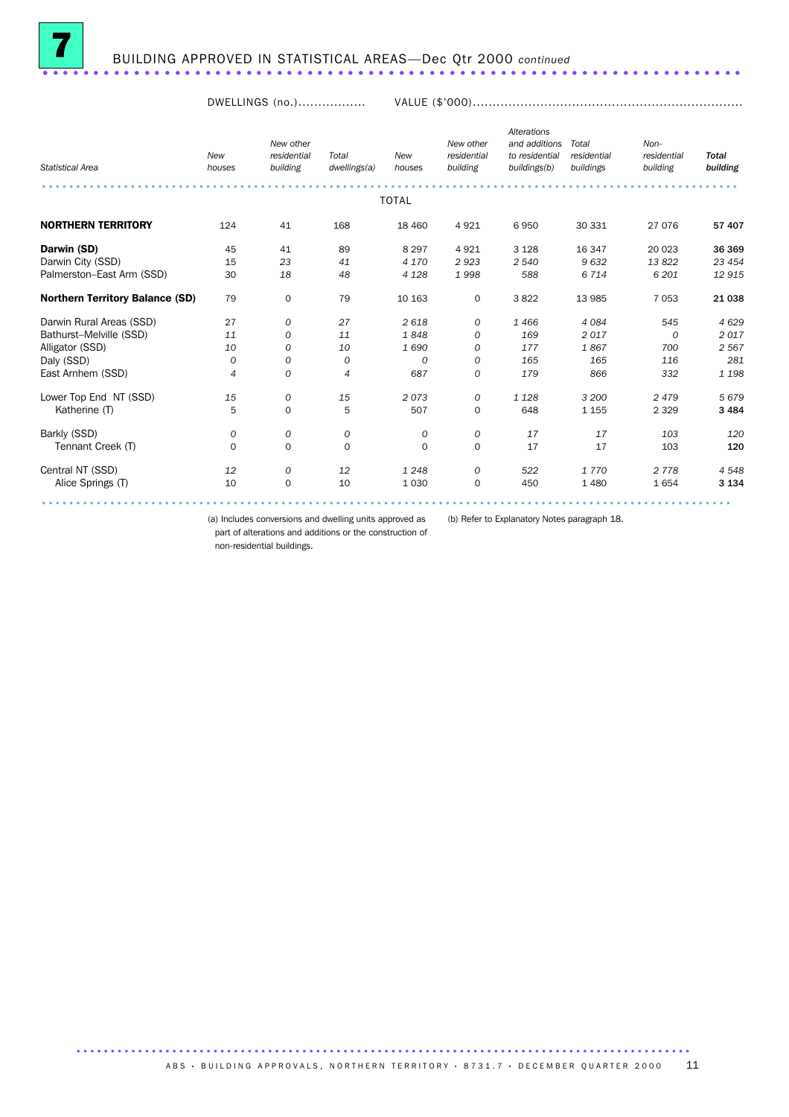

DWELLINGS (no.)................. VALUE (\$'000)....................................................................

| <b>Statistical Area</b>                | <b>New</b><br>houses | New other<br>residential<br>building | Total<br>dwellings(a) | New<br>houses | New other<br>residential<br>building | <b>Alterations</b><br>and additions<br>to residential<br>buildings(b) | Total<br>residential<br>buildings | Non-<br>residential<br>building | <b>Total</b><br>building |
|----------------------------------------|----------------------|--------------------------------------|-----------------------|---------------|--------------------------------------|-----------------------------------------------------------------------|-----------------------------------|---------------------------------|--------------------------|
|                                        |                      |                                      |                       |               |                                      |                                                                       |                                   |                                 |                          |
|                                        |                      |                                      |                       | <b>TOTAL</b>  |                                      |                                                                       |                                   |                                 |                          |
| <b>NORTHERN TERRITORY</b>              | 124                  | 41                                   | 168                   | 18 460        | 4 9 2 1                              | 6950                                                                  | 30 331                            | 27 076                          | 57 407                   |
| Darwin (SD)                            | 45                   | 41                                   | 89                    | 8 2 9 7       | 4 9 2 1                              | 3 1 2 8                                                               | 16 347                            | 20 023                          | 36 369                   |
| Darwin City (SSD)                      | 15                   | 23                                   | 41                    | 4 170         | 2923                                 | 2 5 4 0                                                               | 9632                              | 13822                           | 23 4 54                  |
| Palmerston-East Arm (SSD)              | 30                   | 18                                   | 48                    | 4 1 28        | 1998                                 | 588                                                                   | 6 7 1 4                           | 6 201                           | 12915                    |
| <b>Northern Territory Balance (SD)</b> | 79                   | $\mathbf 0$                          | 79                    | 10 163        | $\mathbf 0$                          | 3822                                                                  | 13 985                            | 7 0 5 3                         | 21 038                   |
| Darwin Rural Areas (SSD)               | 27                   | 0                                    | 27                    | 2618          | 0                                    | 1466                                                                  | 4 0 8 4                           | 545                             | 4629                     |
| Bathurst-Melville (SSD)                | 11                   | 0                                    | 11                    | 1848          | 0                                    | 169                                                                   | 2017                              | 0                               | 2017                     |
| Alligator (SSD)                        | 10                   | 0                                    | 10                    | 1690          | 0                                    | 177                                                                   | 1867                              | 700                             | 2 5 6 7                  |
| Daly (SSD)                             | 0                    | $\boldsymbol{0}$                     | 0                     | 0             | 0                                    | 165                                                                   | 165                               | 116                             | 281                      |
| East Arnhem (SSD)                      | $\overline{4}$       | 0                                    | $\overline{4}$        | 687           | 0                                    | 179                                                                   | 866                               | 332                             | 1 1 9 8                  |
| Lower Top End NT (SSD)                 | 15                   | 0                                    | 15                    | 2073          | 0                                    | 1 1 2 8                                                               | 3 200                             | 2479                            | 5679                     |
| Katherine (T)                          | 5                    | 0                                    | 5                     | 507           | 0                                    | 648                                                                   | 1 1 5 5                           | 2 3 2 9                         | 3 4 8 4                  |
| Barkly (SSD)                           | 0                    | $\boldsymbol{0}$                     | 0                     | 0             | 0                                    | 17                                                                    | 17                                | 103                             | 120                      |
| Tennant Creek (T)                      | $\mathbf 0$          | $\mathbf 0$                          | $\circ$               | $\Omega$      | $\mathbf 0$                          | 17                                                                    | 17                                | 103                             | 120                      |
| Central NT (SSD)                       | 12                   | 0                                    | 12                    | 1 2 4 8       | 0                                    | 522                                                                   | 1770                              | 2 7 7 8                         | 4548                     |
| Alice Springs (T)                      | 10                   | $\mathbf 0$                          | 10                    | 1 0 3 0       | $\mathbf 0$                          | 450                                                                   | 1 4 8 0                           | 1654                            | 3 1 3 4                  |
|                                        |                      |                                      |                       |               |                                      |                                                                       |                                   |                                 |                          |

(a) Includes conversions and dwelling units approved as (b) Refer to Explanatory Notes paragraph 18. part of alterations and additions or the construction of

non-residential buildings.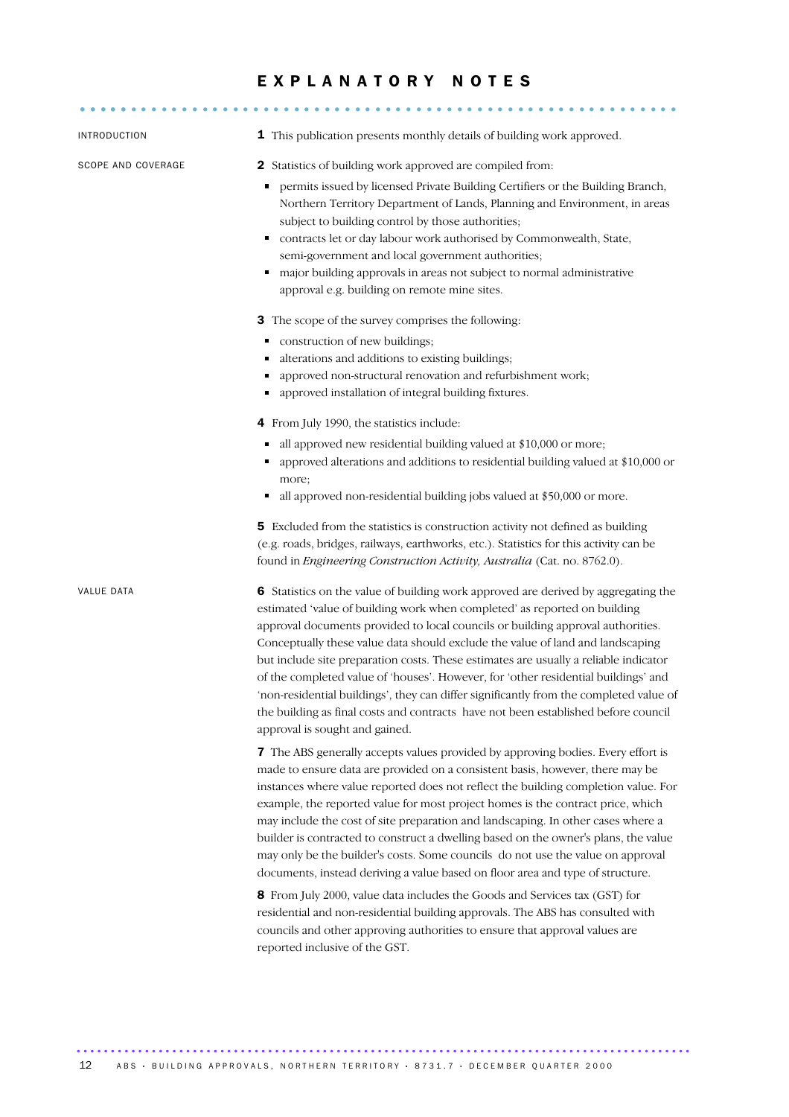# E X P L A N A T O R Y N O T E S

| INTRODUCTION       | 1 This publication presents monthly details of building work approved.                                                                                                                                                                                                                                                                                                                                                                                                                                                                                                                                                                                                                                                               |
|--------------------|--------------------------------------------------------------------------------------------------------------------------------------------------------------------------------------------------------------------------------------------------------------------------------------------------------------------------------------------------------------------------------------------------------------------------------------------------------------------------------------------------------------------------------------------------------------------------------------------------------------------------------------------------------------------------------------------------------------------------------------|
| SCOPE AND COVERAGE | <b>2</b> Statistics of building work approved are compiled from:                                                                                                                                                                                                                                                                                                                                                                                                                                                                                                                                                                                                                                                                     |
|                    | permits issued by licensed Private Building Certifiers or the Building Branch,<br>Northern Territory Department of Lands, Planning and Environment, in areas<br>subject to building control by those authorities;<br>contracts let or day labour work authorised by Commonwealth, State,<br>٠<br>semi-government and local government authorities;<br>major building approvals in areas not subject to normal administrative<br>٠<br>approval e.g. building on remote mine sites.                                                                                                                                                                                                                                                    |
|                    | 3 The scope of the survey comprises the following:                                                                                                                                                                                                                                                                                                                                                                                                                                                                                                                                                                                                                                                                                   |
|                    | construction of new buildings;<br>٠                                                                                                                                                                                                                                                                                                                                                                                                                                                                                                                                                                                                                                                                                                  |
|                    | alterations and additions to existing buildings;                                                                                                                                                                                                                                                                                                                                                                                                                                                                                                                                                                                                                                                                                     |
|                    | approved non-structural renovation and refurbishment work;                                                                                                                                                                                                                                                                                                                                                                                                                                                                                                                                                                                                                                                                           |
|                    | approved installation of integral building fixtures.<br>٠                                                                                                                                                                                                                                                                                                                                                                                                                                                                                                                                                                                                                                                                            |
|                    | 4 From July 1990, the statistics include:                                                                                                                                                                                                                                                                                                                                                                                                                                                                                                                                                                                                                                                                                            |
|                    | all approved new residential building valued at \$10,000 or more;                                                                                                                                                                                                                                                                                                                                                                                                                                                                                                                                                                                                                                                                    |
|                    | approved alterations and additions to residential building valued at \$10,000 or<br>more;                                                                                                                                                                                                                                                                                                                                                                                                                                                                                                                                                                                                                                            |
|                    | all approved non-residential building jobs valued at \$50,000 or more.<br>٠                                                                                                                                                                                                                                                                                                                                                                                                                                                                                                                                                                                                                                                          |
|                    | 5 Excluded from the statistics is construction activity not defined as building<br>(e.g. roads, bridges, railways, earthworks, etc.). Statistics for this activity can be<br>found in Engineering Construction Activity, Australia (Cat. no. 8762.0).                                                                                                                                                                                                                                                                                                                                                                                                                                                                                |
| VALUE DATA         | 6 Statistics on the value of building work approved are derived by aggregating the<br>estimated 'value of building work when completed' as reported on building<br>approval documents provided to local councils or building approval authorities.<br>Conceptually these value data should exclude the value of land and landscaping<br>but include site preparation costs. These estimates are usually a reliable indicator<br>of the completed value of 'houses'. However, for 'other residential buildings' and<br>'non-residential buildings', they can differ significantly from the completed value of<br>the building as final costs and contracts have not been established before council<br>approval is sought and gained. |
|                    | 7 The ABS generally accepts values provided by approving bodies. Every effort is<br>made to ensure data are provided on a consistent basis, however, there may be<br>instances where value reported does not reflect the building completion value. For<br>example, the reported value for most project homes is the contract price, which<br>may include the cost of site preparation and landscaping. In other cases where a<br>builder is contracted to construct a dwelling based on the owner's plans, the value<br>may only be the builder's costs. Some councils do not use the value on approval<br>documents, instead deriving a value based on floor area and type of structure.                                           |
|                    | 8 From July 2000, value data includes the Goods and Services tax (GST) for<br>residential and non-residential building approvals. The ABS has consulted with<br>councils and other approving authorities to ensure that approval values are<br>reported inclusive of the GST.                                                                                                                                                                                                                                                                                                                                                                                                                                                        |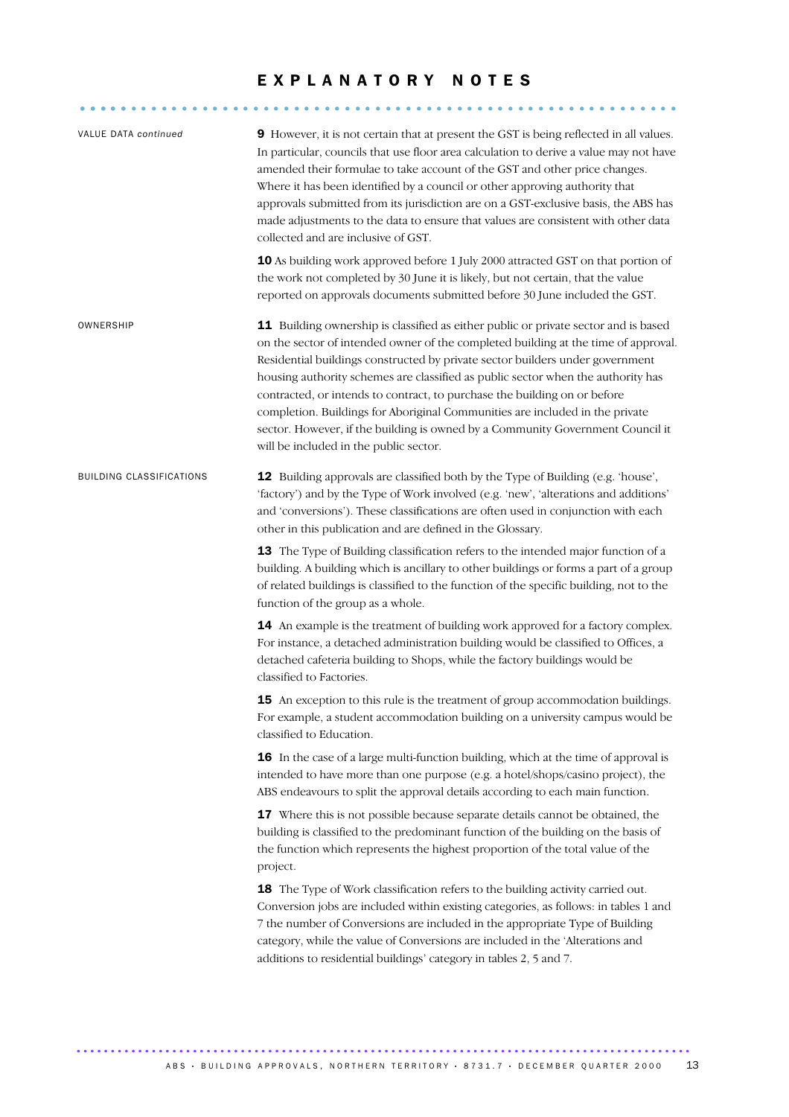# EXPLANATORY NOTES

........................................................... .....

| VALUE DATA continued            | 9 However, it is not certain that at present the GST is being reflected in all values.<br>In particular, councils that use floor area calculation to derive a value may not have<br>amended their formulae to take account of the GST and other price changes.<br>Where it has been identified by a council or other approving authority that<br>approvals submitted from its jurisdiction are on a GST-exclusive basis, the ABS has<br>made adjustments to the data to ensure that values are consistent with other data<br>collected and are inclusive of GST.<br>10 As building work approved before 1 July 2000 attracted GST on that portion of<br>the work not completed by 30 June it is likely, but not certain, that the value<br>reported on approvals documents submitted before 30 June included the GST.                                                                                                                                                                                                                                                                                                                                                                                                                                                                                                                                                                                                                                                                                                                                                                                                                                                                                                                                                                                                                                                                                                                                                                                                                                                           |
|---------------------------------|---------------------------------------------------------------------------------------------------------------------------------------------------------------------------------------------------------------------------------------------------------------------------------------------------------------------------------------------------------------------------------------------------------------------------------------------------------------------------------------------------------------------------------------------------------------------------------------------------------------------------------------------------------------------------------------------------------------------------------------------------------------------------------------------------------------------------------------------------------------------------------------------------------------------------------------------------------------------------------------------------------------------------------------------------------------------------------------------------------------------------------------------------------------------------------------------------------------------------------------------------------------------------------------------------------------------------------------------------------------------------------------------------------------------------------------------------------------------------------------------------------------------------------------------------------------------------------------------------------------------------------------------------------------------------------------------------------------------------------------------------------------------------------------------------------------------------------------------------------------------------------------------------------------------------------------------------------------------------------------------------------------------------------------------------------------------------------|
| OWNERSHIP                       | 11 Building ownership is classified as either public or private sector and is based<br>on the sector of intended owner of the completed building at the time of approval.<br>Residential buildings constructed by private sector builders under government<br>housing authority schemes are classified as public sector when the authority has<br>contracted, or intends to contract, to purchase the building on or before<br>completion. Buildings for Aboriginal Communities are included in the private<br>sector. However, if the building is owned by a Community Government Council it<br>will be included in the public sector.                                                                                                                                                                                                                                                                                                                                                                                                                                                                                                                                                                                                                                                                                                                                                                                                                                                                                                                                                                                                                                                                                                                                                                                                                                                                                                                                                                                                                                         |
| <b>BUILDING CLASSIFICATIONS</b> | 12 Building approvals are classified both by the Type of Building (e.g. 'house',<br>'factory') and by the Type of Work involved (e.g. 'new', 'alterations and additions'<br>and 'conversions'). These classifications are often used in conjunction with each<br>other in this publication and are defined in the Glossary.<br>13 The Type of Building classification refers to the intended major function of a<br>building. A building which is ancillary to other buildings or forms a part of a group<br>of related buildings is classified to the function of the specific building, not to the<br>function of the group as a whole.<br>14 An example is the treatment of building work approved for a factory complex.<br>For instance, a detached administration building would be classified to Offices, a<br>detached cafeteria building to Shops, while the factory buildings would be<br>classified to Factories.<br>15 An exception to this rule is the treatment of group accommodation buildings.<br>For example, a student accommodation building on a university campus would be<br>classified to Education.<br>16 In the case of a large multi-function building, which at the time of approval is<br>intended to have more than one purpose (e.g. a hotel/shops/casino project), the<br>ABS endeavours to split the approval details according to each main function.<br>17 Where this is not possible because separate details cannot be obtained, the<br>building is classified to the predominant function of the building on the basis of<br>the function which represents the highest proportion of the total value of the<br>project.<br>18 The Type of Work classification refers to the building activity carried out.<br>Conversion jobs are included within existing categories, as follows: in tables 1 and<br>7 the number of Conversions are included in the appropriate Type of Building<br>category, while the value of Conversions are included in the 'Alterations and<br>additions to residential buildings' category in tables 2, 5 and 7. |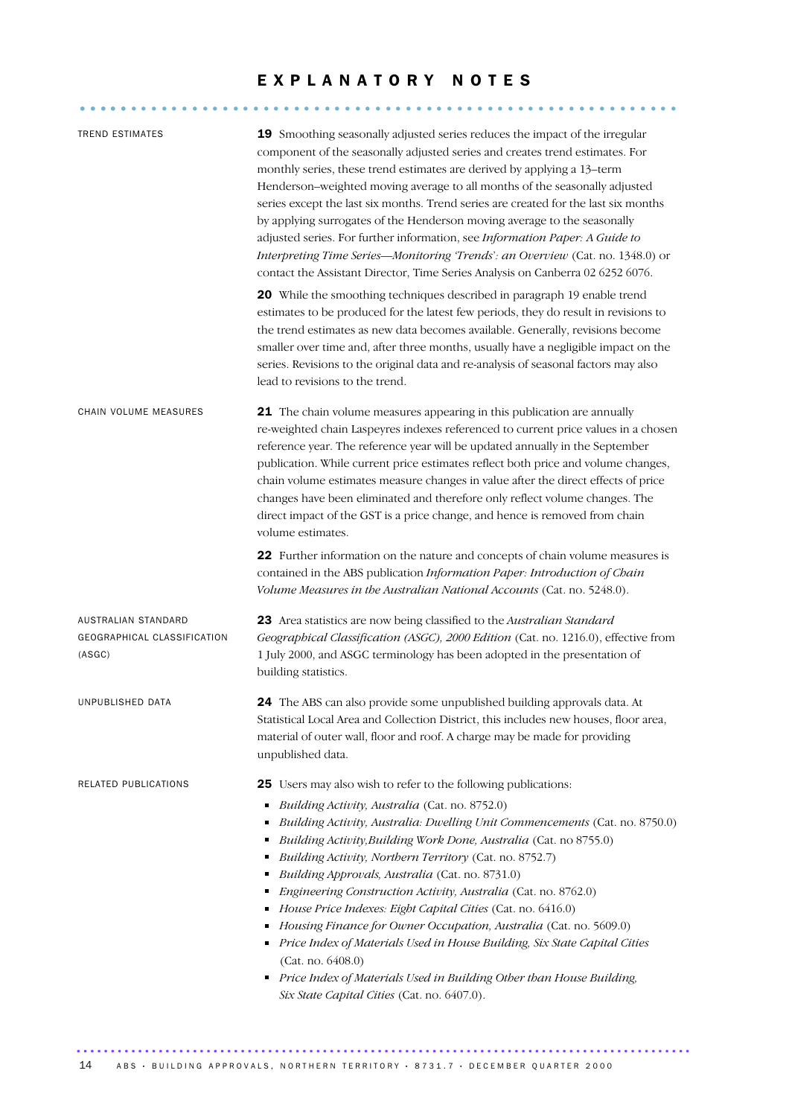# EXPLANATORY NOTES

| <b>TREND ESTIMATES</b>                                       | 19 Smoothing seasonally adjusted series reduces the impact of the irregular<br>component of the seasonally adjusted series and creates trend estimates. For<br>monthly series, these trend estimates are derived by applying a 13-term<br>Henderson-weighted moving average to all months of the seasonally adjusted<br>series except the last six months. Trend series are created for the last six months<br>by applying surrogates of the Henderson moving average to the seasonally<br>adjusted series. For further information, see Information Paper: A Guide to<br>Interpreting Time Series-Monitoring 'Trends': an Overview (Cat. no. 1348.0) or<br>contact the Assistant Director, Time Series Analysis on Canberra 02 6252 6076.                                                                                            |
|--------------------------------------------------------------|---------------------------------------------------------------------------------------------------------------------------------------------------------------------------------------------------------------------------------------------------------------------------------------------------------------------------------------------------------------------------------------------------------------------------------------------------------------------------------------------------------------------------------------------------------------------------------------------------------------------------------------------------------------------------------------------------------------------------------------------------------------------------------------------------------------------------------------|
|                                                              | 20 While the smoothing techniques described in paragraph 19 enable trend<br>estimates to be produced for the latest few periods, they do result in revisions to<br>the trend estimates as new data becomes available. Generally, revisions become<br>smaller over time and, after three months, usually have a negligible impact on the<br>series. Revisions to the original data and re-analysis of seasonal factors may also<br>lead to revisions to the trend.                                                                                                                                                                                                                                                                                                                                                                     |
| CHAIN VOLUME MEASURES                                        | 21 The chain volume measures appearing in this publication are annually<br>re-weighted chain Laspeyres indexes referenced to current price values in a chosen<br>reference year. The reference year will be updated annually in the September<br>publication. While current price estimates reflect both price and volume changes,<br>chain volume estimates measure changes in value after the direct effects of price<br>changes have been eliminated and therefore only reflect volume changes. The<br>direct impact of the GST is a price change, and hence is removed from chain<br>volume estimates.                                                                                                                                                                                                                            |
|                                                              | 22 Further information on the nature and concepts of chain volume measures is<br>contained in the ABS publication Information Paper: Introduction of Chain<br>Volume Measures in the Australian National Accounts (Cat. no. 5248.0).                                                                                                                                                                                                                                                                                                                                                                                                                                                                                                                                                                                                  |
| AUSTRALIAN STANDARD<br>GEOGRAPHICAL CLASSIFICATION<br>(ASGC) | 23 Area statistics are now being classified to the Australian Standard<br>Geographical Classification (ASGC), 2000 Edition (Cat. no. 1216.0), effective from<br>1 July 2000, and ASGC terminology has been adopted in the presentation of<br>building statistics.                                                                                                                                                                                                                                                                                                                                                                                                                                                                                                                                                                     |
| UNPUBLISHED DATA                                             | 24 The ABS can also provide some unpublished building approvals data. At<br>Statistical Local Area and Collection District, this includes new houses, floor area,<br>material of outer wall, floor and roof. A charge may be made for providing<br>unpublished data.                                                                                                                                                                                                                                                                                                                                                                                                                                                                                                                                                                  |
| RELATED PUBLICATIONS                                         | 25 Users may also wish to refer to the following publications:<br>Building Activity, Australia (Cat. no. 8752.0)<br>٠<br>Building Activity, Australia: Dwelling Unit Commencements (Cat. no. 8750.0)<br>Building Activity, Building Work Done, Australia (Cat. no 8755.0)<br>Ξ<br>Building Activity, Northern Territory (Cat. no. 8752.7)<br>Building Approvals, Australia (Cat. no. 8731.0)<br>Engineering Construction Activity, Australia (Cat. no. 8762.0)<br>п<br>House Price Indexes: Eight Capital Cities (Cat. no. 6416.0)<br>Housing Finance for Owner Occupation, Australia (Cat. no. 5609.0)<br>Price Index of Materials Used in House Building, Six State Capital Cities<br>п<br>(Cat. no. 6408.0)<br>Price Index of Materials Used in Building Other than House Building,<br>Six State Capital Cities (Cat. no. 6407.0). |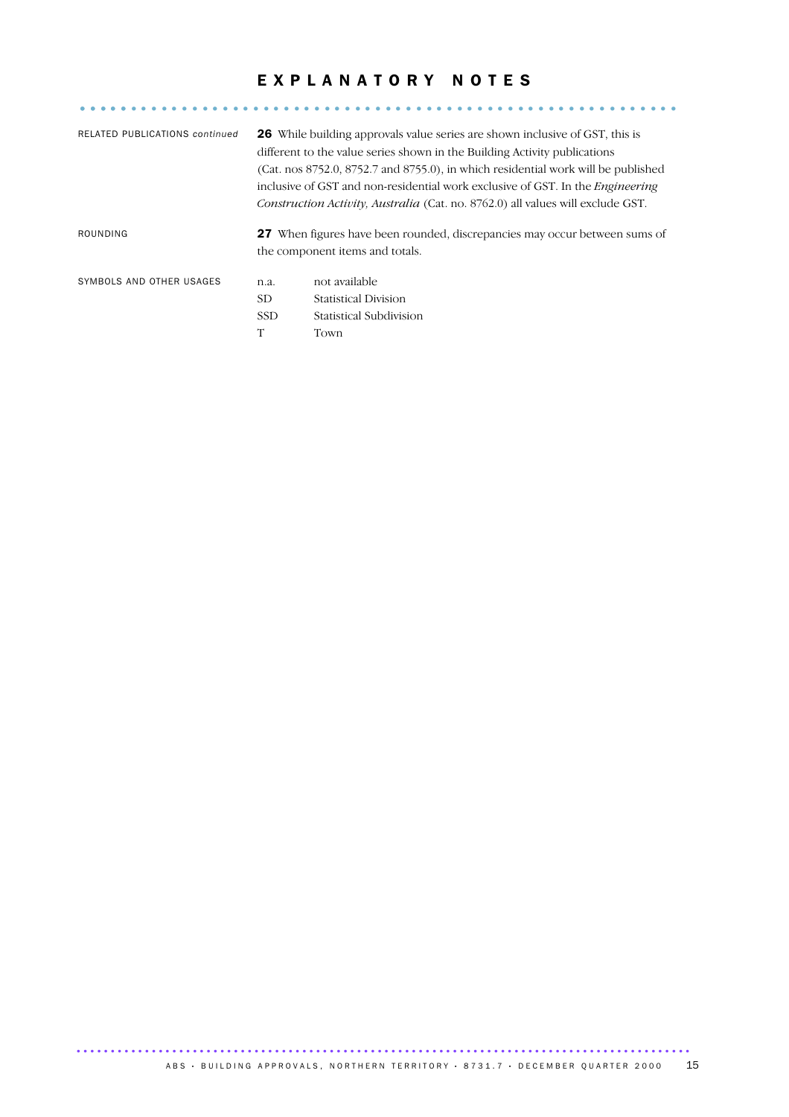# EXPLANATORY NOTES

........................................................... .....

| RELATED PUBLICATIONS continued |            | <b>26</b> While building approvals value series are shown inclusive of GST, this is<br>different to the value series shown in the Building Activity publications<br>(Cat. nos 8752.0, 8752.7 and 8755.0), in which residential work will be published<br>inclusive of GST and non-residential work exclusive of GST. In the <i>Engineering</i><br>Construction Activity, Australia (Cat. no. 8762.0) all values will exclude GST. |
|--------------------------------|------------|-----------------------------------------------------------------------------------------------------------------------------------------------------------------------------------------------------------------------------------------------------------------------------------------------------------------------------------------------------------------------------------------------------------------------------------|
| ROUNDING                       |            | <b>27</b> When figures have been rounded, discrepancies may occur between sums of<br>the component items and totals.                                                                                                                                                                                                                                                                                                              |
| SYMBOLS AND OTHER USAGES       | n.a.       | not available                                                                                                                                                                                                                                                                                                                                                                                                                     |
|                                | SD.        | <b>Statistical Division</b>                                                                                                                                                                                                                                                                                                                                                                                                       |
|                                | <b>SSD</b> | Statistical Subdivision                                                                                                                                                                                                                                                                                                                                                                                                           |
|                                | T          | Town                                                                                                                                                                                                                                                                                                                                                                                                                              |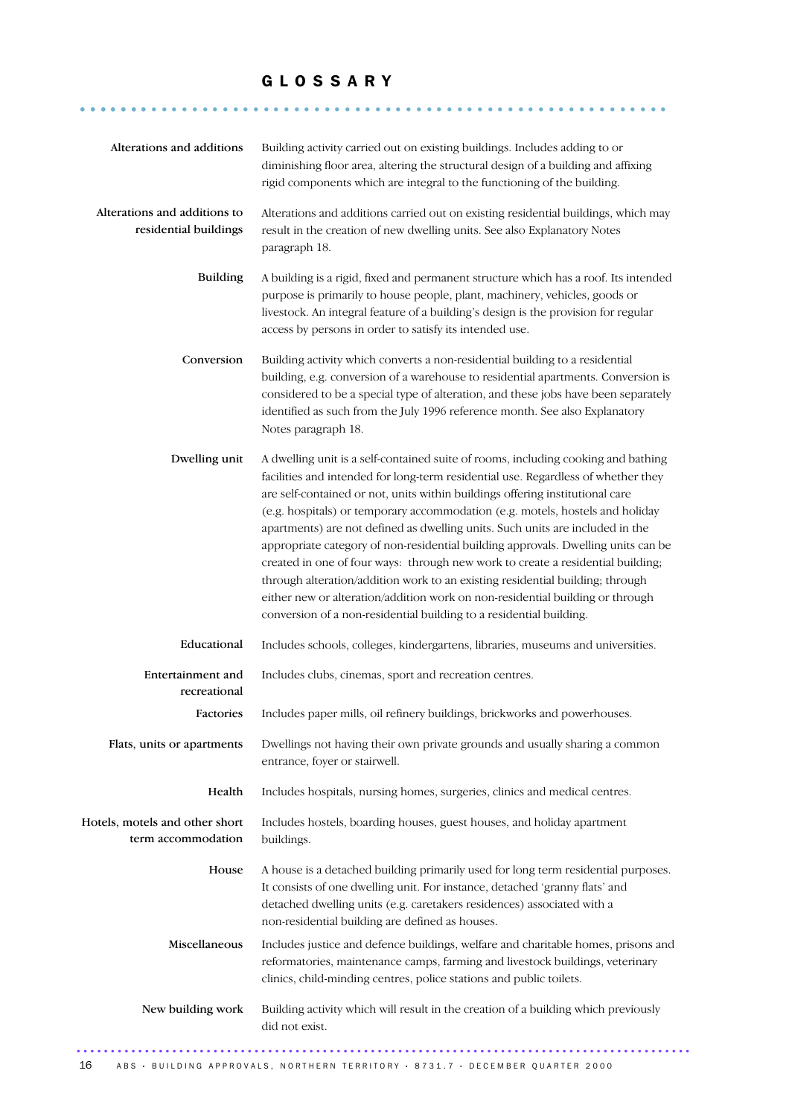## G L O S S A R Y

.......................................................... .......

| Alterations and additions                             | Building activity carried out on existing buildings. Includes adding to or<br>diminishing floor area, altering the structural design of a building and affixing<br>rigid components which are integral to the functioning of the building.                                                                                                                                                                                                                                                                                                                                                                                                                                                                                                                                                                                                 |
|-------------------------------------------------------|--------------------------------------------------------------------------------------------------------------------------------------------------------------------------------------------------------------------------------------------------------------------------------------------------------------------------------------------------------------------------------------------------------------------------------------------------------------------------------------------------------------------------------------------------------------------------------------------------------------------------------------------------------------------------------------------------------------------------------------------------------------------------------------------------------------------------------------------|
| Alterations and additions to<br>residential buildings | Alterations and additions carried out on existing residential buildings, which may<br>result in the creation of new dwelling units. See also Explanatory Notes<br>paragraph 18.                                                                                                                                                                                                                                                                                                                                                                                                                                                                                                                                                                                                                                                            |
| <b>Building</b>                                       | A building is a rigid, fixed and permanent structure which has a roof. Its intended<br>purpose is primarily to house people, plant, machinery, vehicles, goods or<br>livestock. An integral feature of a building's design is the provision for regular<br>access by persons in order to satisfy its intended use.                                                                                                                                                                                                                                                                                                                                                                                                                                                                                                                         |
| Conversion                                            | Building activity which converts a non-residential building to a residential<br>building, e.g. conversion of a warehouse to residential apartments. Conversion is<br>considered to be a special type of alteration, and these jobs have been separately<br>identified as such from the July 1996 reference month. See also Explanatory<br>Notes paragraph 18.                                                                                                                                                                                                                                                                                                                                                                                                                                                                              |
| Dwelling unit                                         | A dwelling unit is a self-contained suite of rooms, including cooking and bathing<br>facilities and intended for long-term residential use. Regardless of whether they<br>are self-contained or not, units within buildings offering institutional care<br>(e.g. hospitals) or temporary accommodation (e.g. motels, hostels and holiday<br>apartments) are not defined as dwelling units. Such units are included in the<br>appropriate category of non-residential building approvals. Dwelling units can be<br>created in one of four ways: through new work to create a residential building;<br>through alteration/addition work to an existing residential building; through<br>either new or alteration/addition work on non-residential building or through<br>conversion of a non-residential building to a residential building. |
| Educational                                           | Includes schools, colleges, kindergartens, libraries, museums and universities.                                                                                                                                                                                                                                                                                                                                                                                                                                                                                                                                                                                                                                                                                                                                                            |
| Entertainment and<br>recreational                     | Includes clubs, cinemas, sport and recreation centres.                                                                                                                                                                                                                                                                                                                                                                                                                                                                                                                                                                                                                                                                                                                                                                                     |
| Factories                                             | Includes paper mills, oil refinery buildings, brickworks and powerhouses.                                                                                                                                                                                                                                                                                                                                                                                                                                                                                                                                                                                                                                                                                                                                                                  |
| Flats, units or apartments                            | Dwellings not having their own private grounds and usually sharing a common<br>entrance, foyer or stairwell.                                                                                                                                                                                                                                                                                                                                                                                                                                                                                                                                                                                                                                                                                                                               |
| Health                                                | Includes hospitals, nursing homes, surgeries, clinics and medical centres.                                                                                                                                                                                                                                                                                                                                                                                                                                                                                                                                                                                                                                                                                                                                                                 |
| Hotels, motels and other short<br>term accommodation  | Includes hostels, boarding houses, guest houses, and holiday apartment<br>buildings.                                                                                                                                                                                                                                                                                                                                                                                                                                                                                                                                                                                                                                                                                                                                                       |
| House                                                 | A house is a detached building primarily used for long term residential purposes.<br>It consists of one dwelling unit. For instance, detached 'granny flats' and<br>detached dwelling units (e.g. caretakers residences) associated with a<br>non-residential building are defined as houses.                                                                                                                                                                                                                                                                                                                                                                                                                                                                                                                                              |
| Miscellaneous                                         | Includes justice and defence buildings, welfare and charitable homes, prisons and<br>reformatories, maintenance camps, farming and livestock buildings, veterinary<br>clinics, child-minding centres, police stations and public toilets.                                                                                                                                                                                                                                                                                                                                                                                                                                                                                                                                                                                                  |
| New building work                                     | Building activity which will result in the creation of a building which previously<br>did not exist.                                                                                                                                                                                                                                                                                                                                                                                                                                                                                                                                                                                                                                                                                                                                       |
|                                                       |                                                                                                                                                                                                                                                                                                                                                                                                                                                                                                                                                                                                                                                                                                                                                                                                                                            |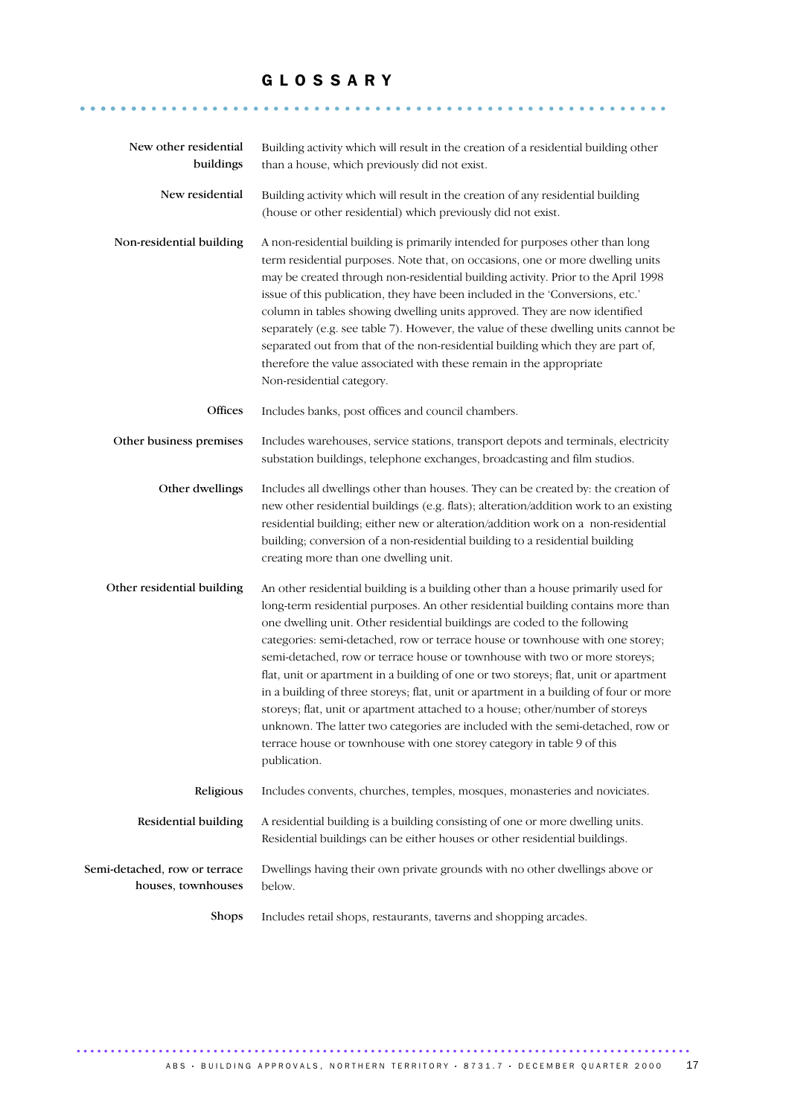## G L O S S A R Y

.......................................................... .......

| New other residential<br>buildings                  | Building activity which will result in the creation of a residential building other<br>than a house, which previously did not exist.                                                                                                                                                                                                                                                                                                                                                                                                                                                                                                                                                                                                                                                                                                                            |
|-----------------------------------------------------|-----------------------------------------------------------------------------------------------------------------------------------------------------------------------------------------------------------------------------------------------------------------------------------------------------------------------------------------------------------------------------------------------------------------------------------------------------------------------------------------------------------------------------------------------------------------------------------------------------------------------------------------------------------------------------------------------------------------------------------------------------------------------------------------------------------------------------------------------------------------|
| New residential                                     | Building activity which will result in the creation of any residential building<br>(house or other residential) which previously did not exist.                                                                                                                                                                                                                                                                                                                                                                                                                                                                                                                                                                                                                                                                                                                 |
| Non-residential building                            | A non-residential building is primarily intended for purposes other than long<br>term residential purposes. Note that, on occasions, one or more dwelling units<br>may be created through non-residential building activity. Prior to the April 1998<br>issue of this publication, they have been included in the 'Conversions, etc.'<br>column in tables showing dwelling units approved. They are now identified<br>separately (e.g. see table 7). However, the value of these dwelling units cannot be<br>separated out from that of the non-residential building which they are part of,<br>therefore the value associated with these remain in the appropriate<br>Non-residential category.                                                                                                                                                                |
| Offices                                             | Includes banks, post offices and council chambers.                                                                                                                                                                                                                                                                                                                                                                                                                                                                                                                                                                                                                                                                                                                                                                                                              |
| Other business premises                             | Includes warehouses, service stations, transport depots and terminals, electricity<br>substation buildings, telephone exchanges, broadcasting and film studios.                                                                                                                                                                                                                                                                                                                                                                                                                                                                                                                                                                                                                                                                                                 |
| Other dwellings                                     | Includes all dwellings other than houses. They can be created by: the creation of<br>new other residential buildings (e.g. flats); alteration/addition work to an existing<br>residential building; either new or alteration/addition work on a non-residential<br>building; conversion of a non-residential building to a residential building<br>creating more than one dwelling unit.                                                                                                                                                                                                                                                                                                                                                                                                                                                                        |
| Other residential building                          | An other residential building is a building other than a house primarily used for<br>long-term residential purposes. An other residential building contains more than<br>one dwelling unit. Other residential buildings are coded to the following<br>categories: semi-detached, row or terrace house or townhouse with one storey;<br>semi-detached, row or terrace house or townhouse with two or more storeys;<br>flat, unit or apartment in a building of one or two storeys; flat, unit or apartment<br>in a building of three storeys; flat, unit or apartment in a building of four or more<br>storeys; flat, unit or apartment attached to a house; other/number of storeys<br>unknown. The latter two categories are included with the semi-detached, row or<br>terrace house or townhouse with one storey category in table 9 of this<br>publication. |
| Religious                                           | Includes convents, churches, temples, mosques, monasteries and noviciates.                                                                                                                                                                                                                                                                                                                                                                                                                                                                                                                                                                                                                                                                                                                                                                                      |
| Residential building                                | A residential building is a building consisting of one or more dwelling units.<br>Residential buildings can be either houses or other residential buildings.                                                                                                                                                                                                                                                                                                                                                                                                                                                                                                                                                                                                                                                                                                    |
| Semi-detached, row or terrace<br>houses, townhouses | Dwellings having their own private grounds with no other dwellings above or<br>below.                                                                                                                                                                                                                                                                                                                                                                                                                                                                                                                                                                                                                                                                                                                                                                           |
| Shops                                               | Includes retail shops, restaurants, taverns and shopping arcades.                                                                                                                                                                                                                                                                                                                                                                                                                                                                                                                                                                                                                                                                                                                                                                                               |